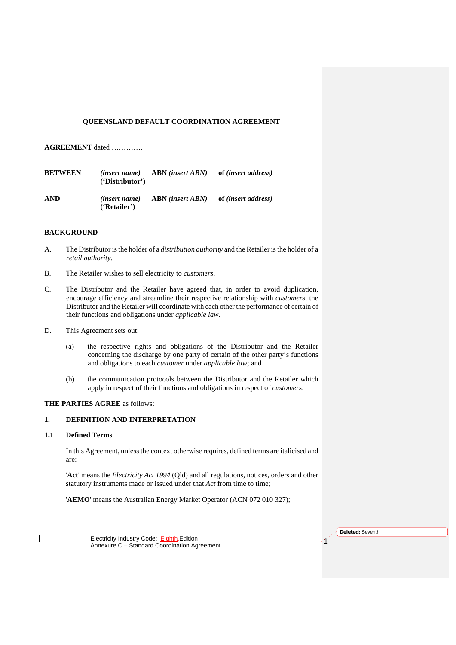# **QUEENSLAND DEFAULT COORDINATION AGREEMENT**

# **AGREEMENT** dated ………….

| <b>BETWEEN</b> | 'Distribution'                                           | $(inset name)$ ABN $(inset ABN)$ | of <i>(insert address)</i> |
|----------------|----------------------------------------------------------|----------------------------------|----------------------------|
| <b>AND</b>     | <i>(insert name)</i><br>$(F_{\text{R}\text{-}\text{E}})$ | ABN (insert ABN)                 | of <i>(insert address)</i> |

# **BACKGROUND**

- A. The Distributor is the holder of a *distribution authority* and the Retailer is the holder of a *retail authority*.
- B. The Retailer wishes to sell electricity to *customers*.
- C. The Distributor and the Retailer have agreed that, in order to avoid duplication, encourage efficiency and streamline their respective relationship with *customers*, the Distributor and the Retailer will coordinate with each other the performance of certain of their functions and obligations under *applicable law*.
- D. This Agreement sets out:
	- (a) the respective rights and obligations of the Distributor and the Retailer concerning the discharge by one party of certain of the other party's functions and obligations to each *customer* under *applicable law*; and
	- (b) the communication protocols between the Distributor and the Retailer which apply in respect of their functions and obligations in respect of *customers*.

# **THE PARTIES AGREE** as follows:

# **1. DEFINITION AND INTERPRETATION**

# **1.1 Defined Terms**

In this Agreement, unless the context otherwise requires, defined terms are italicised and are:

'**Act**' means the *Electricity Act 1994* (Qld) and all regulations, notices, orders and other statutory instruments made or issued under that *Act* from time to time;

'**AEMO**' means the Australian Energy Market Operator (ACN 072 010 327);

**Deleted:** Seventh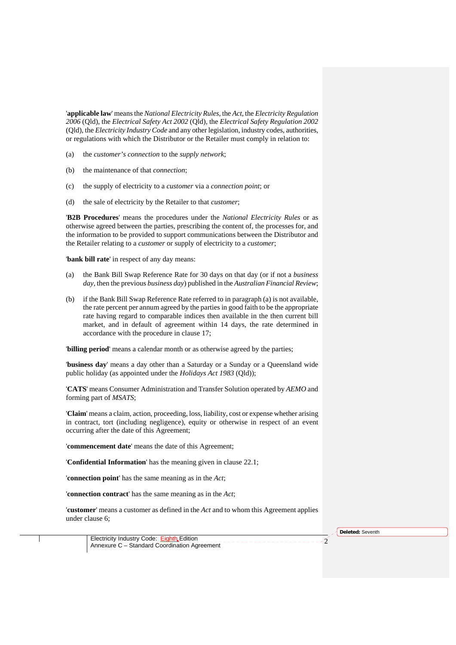'**applicable law**' means the *National Electricity Rules*, the *Act*, the *Electricity Regulation 2006* (Qld), the *Electrical Safety Act 2002* (Qld), the *Electrical Safety Regulation 2002* (Qld), the *Electricity Industry Code* and any other legislation, industry codes, authorities, or regulations with which the Distributor or the Retailer must comply in relation to:

- (a) the *customer's connection* to the *supply network*;
- (b) the maintenance of that *connection*;
- (c) the supply of electricity to a *customer* via a *connection point*; or
- (d) the sale of electricity by the Retailer to that *customer*;

'**B2B Procedures**' means the procedures under the *National Electricity Rules* or as otherwise agreed between the parties, prescribing the content of, the processes for, and the information to be provided to support communications between the Distributor and the Retailer relating to a *customer* or supply of electricity to a *customer*;

'**bank bill rate**' in respect of any day means:

- (a) the Bank Bill Swap Reference Rate for 30 days on that day (or if not a *business day*, then the previous *business day*) published in the *Australian Financial Review*;
- (b) if the Bank Bill Swap Reference Rate referred to in paragraph (a) is not available, the rate percent per annum agreed by the parties in good faith to be the appropriate rate having regard to comparable indices then available in the then current bill market, and in default of agreement within 14 days, the rate determined in accordance with the procedure in clause 17;

'**billing period**' means a calendar month or as otherwise agreed by the parties;

'**business day**' means a day other than a Saturday or a Sunday or a Queensland wide public holiday (as appointed under the *Holidays Act 1983* (Qld));

'**CATS**' means Consumer Administration and Transfer Solution operated by *AEMO* and forming part of *MSATS*;

'**Claim**' means a claim, action, proceeding, loss, liability, cost or expense whether arising in contract, tort (including negligence), equity or otherwise in respect of an event occurring after the date of this Agreement;

'**commencement date**' means the date of this Agreement;

'**Confidential Information**' has the meaning given in clause 22.1;

'**connection point**' has the same meaning as in the *Act*;

'**connection contract**' has the same meaning as in the *Act*;

'**customer**' means a customer as defined in the *Act* and to whom this Agreement applies under clause 6;

**Deleted:** Seventh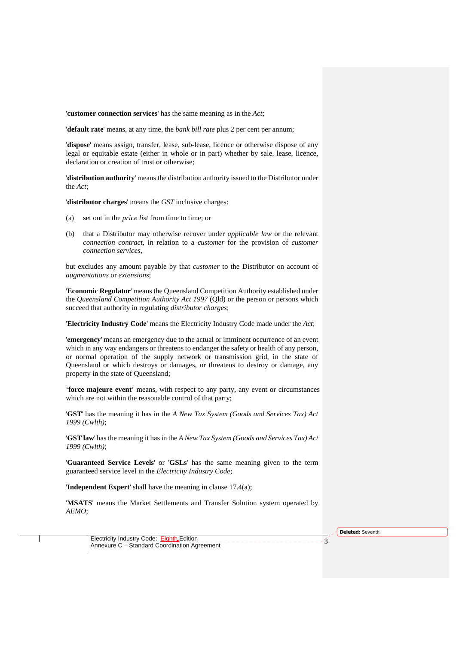'**customer connection services**' has the same meaning as in the *Act*;

'**default rate**' means, at any time, the *bank bill rate* plus 2 per cent per annum;

'**dispose**' means assign, transfer, lease, sub-lease, licence or otherwise dispose of any legal or equitable estate (either in whole or in part) whether by sale, lease, licence, declaration or creation of trust or otherwise;

'**distribution authority**' means the distribution authority issued to the Distributor under the *Act*;

'**distributor charges**' means the *GST* inclusive charges:

- (a) set out in the *price list* from time to time; or
- (b) that a Distributor may otherwise recover under *applicable law* or the relevant *connection contract*, in relation to a *customer* for the provision of *customer connection services*,

but excludes any amount payable by that *customer* to the Distributor on account of *augmentations* or *extensions*;

'**Economic Regulator**' means the Queensland Competition Authority established under the *Queensland Competition Authority Act 1997* (Qld) or the person or persons which succeed that authority in regulating *distributor charges*;

'**Electricity Industry Code**' means the Electricity Industry Code made under the *Act*;

'**emergency**' means an emergency due to the actual or imminent occurrence of an event which in any way endangers or threatens to endanger the safety or health of any person, or normal operation of the supply network or transmission grid, in the state of Queensland or which destroys or damages, or threatens to destroy or damage, any property in the state of Queensland;

'**force majeure event**' means, with respect to any party, any event or circumstances which are not within the reasonable control of that party;

'**GST**' has the meaning it has in the *A New Tax System (Goods and Services Tax) Act 1999 (Cwlth)*;

'**GST law**' has the meaning it has in the *A New Tax System (Goods and Services Tax) Act 1999 (Cwlth)*;

'**Guaranteed Service Levels**' or '**GSLs**' has the same meaning given to the term guaranteed service level in the *Electricity Industry Code*;

'**Independent Expert**' shall have the meaning in clause 17.4(a);

'**MSATS**' means the Market Settlements and Transfer Solution system operated by *AEMO*;

**Deleted:** Seventh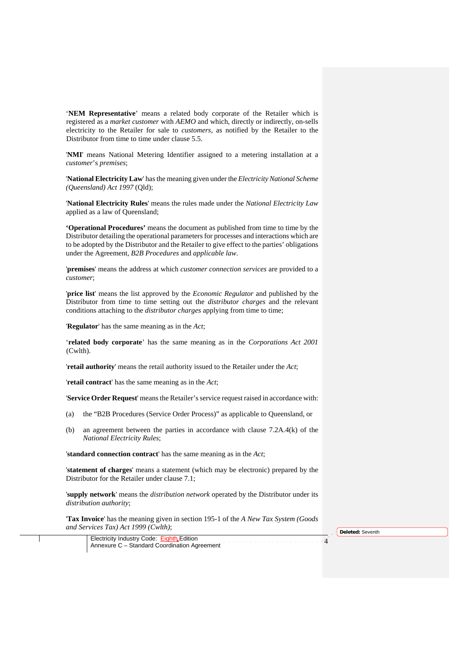'**NEM Representative**' means a related body corporate of the Retailer which is registered as a *market customer* with *AEMO* and which, directly or indirectly, on-sells electricity to the Retailer for sale to *customers*, as notified by the Retailer to the Distributor from time to time under clause 5.5.

'**NMI**' means National Metering Identifier assigned to a metering installation at a *customer*'s *premises*;

'**National Electricity Law**' has the meaning given under the *Electricity National Scheme (Queensland) Act 1997* (Qld);

'**National Electricity Rules**' means the rules made under the *National Electricity Law* applied as a law of Queensland;

**'Operational Procedures'** means the document as published from time to time by the Distributor detailing the operational parameters for processes and interactions which are to be adopted by the Distributor and the Retailer to give effect to the parties' obligations under the Agreement, *B2B Procedures* and *applicable law*.

'**premises**' means the address at which *customer connection services* are provided to a *customer*;

'**price list**' means the list approved by the *Economic Regulator* and published by the Distributor from time to time setting out the *distributor charges* and the relevant conditions attaching to the *distributor charges* applying from time to time;

'**Regulator**' has the same meaning as in the *Act*;

'**related body corporate**' has the same meaning as in the *Corporations Act 2001*  (Cwlth).

'**retail authority**' means the retail authority issued to the Retailer under the *Act*;

'**retail contract**' has the same meaning as in the *Act*;

'**Service Order Request**' means the Retailer's service request raised in accordance with:

- (a) the "B2B Procedures (Service Order Process)" as applicable to Queensland, or
- (b) an agreement between the parties in accordance with clause 7.2A.4(k) of the *National Electricity Rules*;

'**standard connection contract**' has the same meaning as in the *Act*;

'**statement of charges**' means a statement (which may be electronic) prepared by the Distributor for the Retailer under clause 7.1;

'**supply network**' means the *distribution network* operated by the Distributor under its *distribution authority*;

'**Tax Invoice**' has the meaning given in section 195-1 of the *A New Tax System (Goods and Services Tax) Act 1999 (Cwlth)*;

**Deleted:** Seventh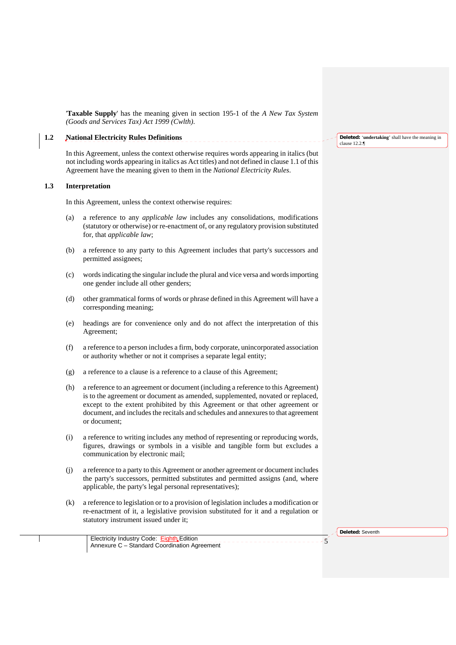'**Taxable Supply**' has the meaning given in section 195-1 of the *A New Tax System (Goods and Services Tax) Act 1999 (Cwlth)*.

# **1.2 National Electricity Rules Definitions**

In this Agreement, unless the context otherwise requires words appearing in italics (but not including words appearing in italics as Act titles) and not defined in clause 1.1 of this Agreement have the meaning given to them in the *National Electricity Rules*.

#### **1.3 Interpretation**

In this Agreement, unless the context otherwise requires:

- (a) a reference to any *applicable law* includes any consolidations, modifications (statutory or otherwise) or re-enactment of, or any regulatory provision substituted for, that *applicable law*;
- (b) a reference to any party to this Agreement includes that party's successors and permitted assignees;
- (c) words indicating the singular include the plural and vice versa and words importing one gender include all other genders;
- (d) other grammatical forms of words or phrase defined in this Agreement will have a corresponding meaning;
- (e) headings are for convenience only and do not affect the interpretation of this Agreement;
- (f) a reference to a person includes a firm, body corporate, unincorporated association or authority whether or not it comprises a separate legal entity;
- (g) a reference to a clause is a reference to a clause of this Agreement;
- (h) a reference to an agreement or document (including a reference to this Agreement) is to the agreement or document as amended, supplemented, novated or replaced, except to the extent prohibited by this Agreement or that other agreement or document, and includes the recitals and schedules and annexures to that agreement or document;
- (i) a reference to writing includes any method of representing or reproducing words, figures, drawings or symbols in a visible and tangible form but excludes a communication by electronic mail;
- (j) a reference to a party to this Agreement or another agreement or document includes the party's successors, permitted substitutes and permitted assigns (and, where applicable, the party's legal personal representatives);
- (k) a reference to legislation or to a provision of legislation includes a modification or re-enactment of it, a legislative provision substituted for it and a regulation or statutory instrument issued under it;

**Deleted:** Seventh

Electricity Industry Code: Eighth Edition Annexure C – Standard Coordination Agreement <sup>5</sup> **Deleted:** '**undertaking**' shall have the meaning in clause 12.2.¶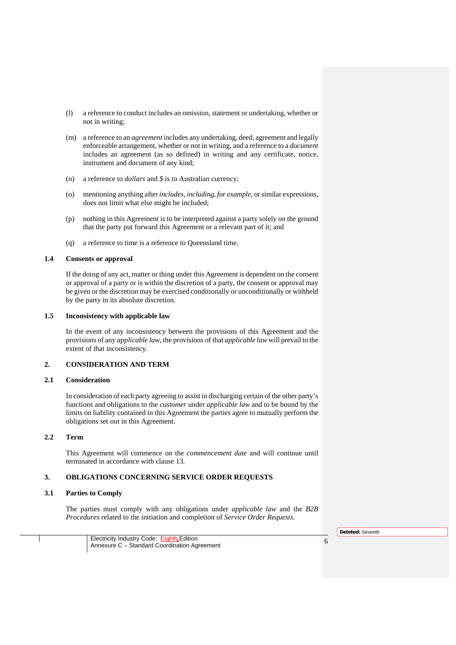- (l) a reference to conduct includes an omission, statement or undertaking, whether or not in writing;
- (m) a reference to an *agreement* includes any undertaking, deed, agreement and legally enforceable arrangement, whether or not in writing, and a reference to a *document* includes an agreement (as so defined) in writing and any certificate, notice, instrument and document of any kind;
- (n) a reference to *dollars* and *\$* is to Australian currency;
- (o) mentioning anything after *includes*, *including*, *for example*, or similar expressions, does not limit what else might be included;
- (p) nothing in this Agreement is to be interpreted against a party solely on the ground that the party put forward this Agreement or a relevant part of it; and
- (q) a reference to time is a reference to Queensland time.

# **1.4 Consents or approval**

If the doing of any act, matter or thing under this Agreement is dependent on the consent or approval of a party or is within the discretion of a party, the consent or approval may be given or the discretion may be exercised conditionally or unconditionally or withheld by the party in its absolute discretion.

#### **1.5 Inconsistency with applicable law**

In the event of any inconsistency between the provisions of this Agreement and the provisions of any *applicable law*, the provisions of that *applicable law* will prevail to the extent of that inconsistency.

# **2. CONSIDERATION AND TERM**

#### **2.1 Consideration**

In consideration of each party agreeing to assist in discharging certain of the other party's functions and obligations to the *customer* under *applicable law* and to be bound by the limits on liability contained in this Agreement the parties agree to mutually perform the obligations set out in this Agreement.

# **2.2 Term**

This Agreement will commence on the *commencement date* and will continue until terminated in accordance with clause 13.

#### **3. OBLIGATIONS CONCERNING SERVICE ORDER REQUESTS**

#### **3.1 Parties to Comply**

The parties must comply with any obligations under *applicable law* and the *B2B Procedures* related to the initiation and completion of *Service Order Requests*.

**Deleted:** Seventh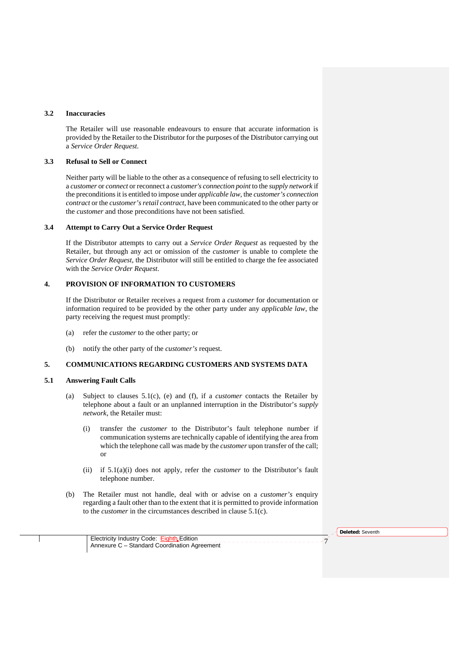# **3.2 Inaccuracies**

The Retailer will use reasonable endeavours to ensure that accurate information is provided by the Retailer to the Distributor for the purposes of the Distributor carrying out a *Service Order Request*.

#### **3.3 Refusal to Sell or Connect**

Neither party will be liable to the other as a consequence of refusing to sell electricity to a *customer* or *connect* or reconnect a *customer's connection point* to the *supply network* if the preconditions it is entitled to impose under *applicable law,* the *customer's connection contract* or the *customer's retail contract*, have been communicated to the other party or the *customer* and those preconditions have not been satisfied.

#### **3.4 Attempt to Carry Out a Service Order Request**

If the Distributor attempts to carry out a *Service Order Request* as requested by the Retailer, but through any act or omission of the *customer* is unable to complete the *Service Order Request*, the Distributor will still be entitled to charge the fee associated with the *Service Order Request*.

# **4. PROVISION OF INFORMATION TO CUSTOMERS**

If the Distributor or Retailer receives a request from a *customer* for documentation or information required to be provided by the other party under any *applicable law*, the party receiving the request must promptly:

- (a) refer the *customer* to the other party; or
- (b) notify the other party of the *customer's* request.

# **5. COMMUNICATIONS REGARDING CUSTOMERS AND SYSTEMS DATA**

#### **5.1 Answering Fault Calls**

- (a) Subject to clauses 5.1(c), (e) and (f), if a *customer* contacts the Retailer by telephone about a fault or an unplanned interruption in the Distributor's *supply network*, the Retailer must:
	- (i) transfer the *customer* to the Distributor's fault telephone number if communication systems are technically capable of identifying the area from which the telephone call was made by the *customer* upon transfer of the call; or
	- (ii) if 5.1(a)(i) does not apply, refer the *customer* to the Distributor's fault telephone number.
- (b) The Retailer must not handle, deal with or advise on a *customer's* enquiry regarding a fault other than to the extent that it is permitted to provide information to the *customer* in the circumstances described in clause 5.1(c).

**Deleted:** Seventh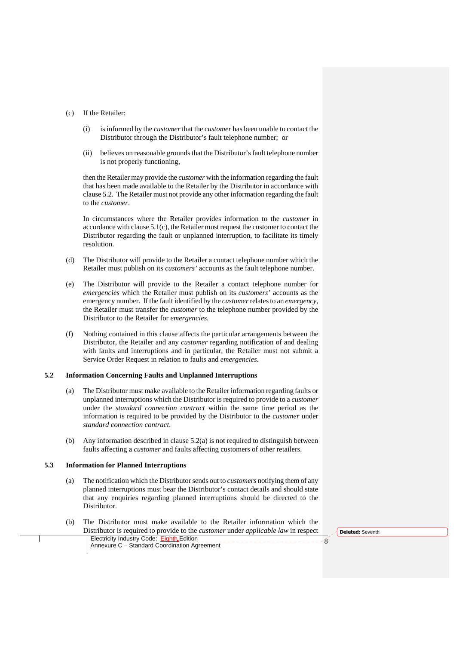#### (c) If the Retailer:

- (i) is informed by the *customer* that the *customer* has been unable to contact the Distributor through the Distributor's fault telephone number; or
- (ii) believes on reasonable grounds that the Distributor's fault telephone number is not properly functioning,

then the Retailer may provide the *customer* with the information regarding the fault that has been made available to the Retailer by the Distributor in accordance with clause 5.2. The Retailer must not provide any other information regarding the fault to the *customer*.

In circumstances where the Retailer provides information to the *customer* in accordance with clause 5.1(c), the Retailer must request the customer to contact the Distributor regarding the fault or unplanned interruption, to facilitate its timely resolution.

- (d) The Distributor will provide to the Retailer a contact telephone number which the Retailer must publish on its *customers'* accounts as the fault telephone number.
- (e) The Distributor will provide to the Retailer a contact telephone number for *emergencies* which the Retailer must publish on its *customers'* accounts as the emergency number. If the fault identified by the *customer* relates to an *emergency*, the Retailer must transfer the *customer* to the telephone number provided by the Distributor to the Retailer for *emergencies*.
- (f) Nothing contained in this clause affects the particular arrangements between the Distributor, the Retailer and any *customer* regarding notification of and dealing with faults and interruptions and in particular, the Retailer must not submit a Service Order Request in relation to faults and *emergencies*.

#### **5.2 Information Concerning Faults and Unplanned Interruptions**

- (a) The Distributor must make available to the Retailer information regarding faults or unplanned interruptions which the Distributor is required to provide to a *customer* under the *standard connection contract* within the same time period as the information is required to be provided by the Distributor to the *customer* under *standard connection contract*.
- (b) Any information described in clause 5.2(a) is not required to distinguish between faults affecting a *customer* and faults affecting customers of other retailers.

# **5.3 Information for Planned Interruptions**

- (a) The notification which the Distributor sends out to *customers* notifying them of any planned interruptions must bear the Distributor's contact details and should state that any enquiries regarding planned interruptions should be directed to the Distributor.
- Electricity Industry Code: Eighth Edition Annexure C Standard Coordination Agreement <sup>8</sup> (b) The Distributor must make available to the Retailer information which the Distributor is required to provide to the *customer* under *applicable law* in respect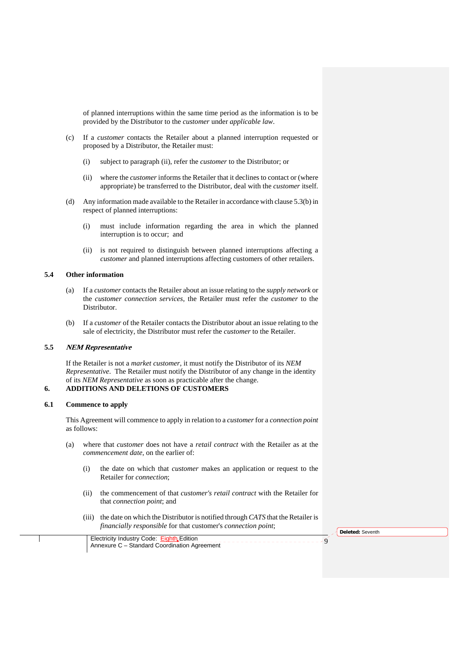of planned interruptions within the same time period as the information is to be provided by the Distributor to the *customer* under *applicable law*.

- (c) If a *customer* contacts the Retailer about a planned interruption requested or proposed by a Distributor, the Retailer must:
	- (i) subject to paragraph (ii), refer the *customer* to the Distributor; or
	- (ii) where the *customer* informs the Retailer that it declines to contact or (where appropriate) be transferred to the Distributor, deal with the *customer* itself.
- (d) Any information made available to the Retailer in accordance with clause 5.3(b) in respect of planned interruptions:
	- (i) must include information regarding the area in which the planned interruption is to occur; and
	- (ii) is not required to distinguish between planned interruptions affecting a *customer* and planned interruptions affecting customers of other retailers.

# **5.4 Other information**

- (a) If a *customer* contacts the Retailer about an issue relating to the *supply network* or the *customer connection services*, the Retailer must refer the *customer* to the Distributor.
- (b) If a *customer* of the Retailer contacts the Distributor about an issue relating to the sale of electricity, the Distributor must refer the *customer* to the Retailer.

# **5.5 NEM Representative**

If the Retailer is not a *market customer*, it must notify the Distributor of its *NEM Representative*. The Retailer must notify the Distributor of any change in the identity of its *NEM Representative* as soon as practicable after the change.

# **6. ADDITIONS AND DELETIONS OF CUSTOMERS**

# **6.1 Commence to apply**

This Agreement will commence to apply in relation to a *customer* for a *connection point* as follows:

- (a) where that *customer* does not have a *retail contract* with the Retailer as at the *commencement date*, on the earlier of:
	- (i) the date on which that *customer* makes an application or request to the Retailer for *connection*;
	- (ii) the commencement of that *customer's retail contract* with the Retailer for that *connection point*; and
	- (iii) the date on which the Distributor is notified through *CATS* that the Retailer is *financially responsible* for that customer's *connection point*;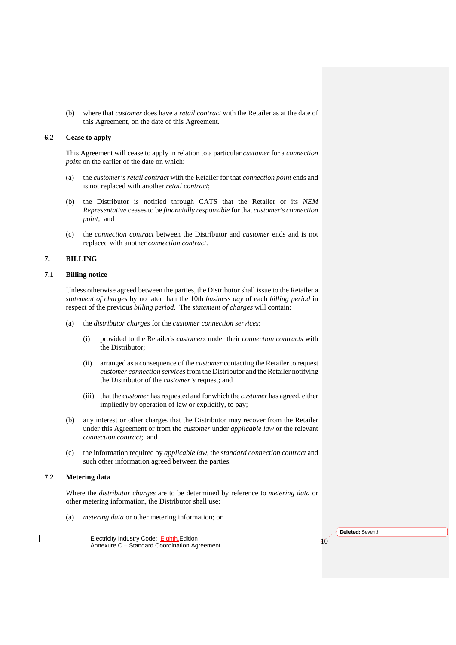(b) where that *customer* does have a *retail contract* with the Retailer as at the date of this Agreement, on the date of this Agreement.

# **6.2 Cease to apply**

This Agreement will cease to apply in relation to a particular *customer* for a *connection point* on the earlier of the date on which:

- (a) the *customer's retail contract* with the Retailer for that *connection point* ends and is not replaced with another *retail contract*;
- (b) the Distributor is notified through CATS that the Retailer or its *NEM Representative* ceases to be *financially responsible* for that *customer's connection point*; and
- (c) the *connection contract* between the Distributor and *customer* ends and is not replaced with another *connection contract*.

# **7. BILLING**

# **7.1 Billing notice**

Unless otherwise agreed between the parties, the Distributor shall issue to the Retailer a *statement of charges* by no later than the 10th *business day* of each *billing period* in respect of the previous *billing period*. The *statement of charges* will contain:

- (a) the *distributor charges* for the *customer connection services*:
	- (i) provided to the Retailer's *customers* under their *connection contracts* with the Distributor;
	- (ii) arranged as a consequence of the *customer* contacting the Retailer to request *customer connection services* from the Distributor and the Retailer notifying the Distributor of the *customer's* request; and
	- (iii) that the *customer* has requested and for which the *customer* has agreed, either impliedly by operation of law or explicitly, to pay;
- (b) any interest or other charges that the Distributor may recover from the Retailer under this Agreement or from the *customer* under *applicable law* or the relevant *connection contract*; and
- (c) the information required by *applicable law*, the *standard connection contract* and such other information agreed between the parties.

# **7.2 Metering data**

Where the *distributor charges* are to be determined by reference to *metering data* or other metering information, the Distributor shall use:

(a) *metering data* or other metering information; or

**Deleted:** Seventh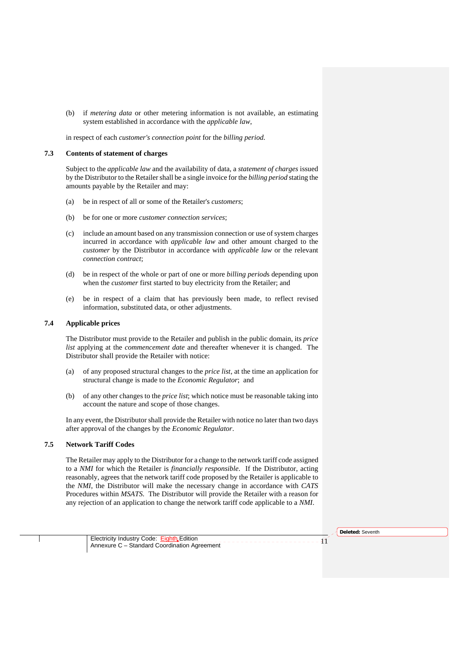(b) if *metering data* or other metering information is not available, an estimating system established in accordance with the *applicable law*,

in respect of each *customer's connection point* for the *billing period*.

#### **7.3 Contents of statement of charges**

Subject to the *applicable law* and the availability of data, a *statement of charges* issued by the Distributor to the Retailer shall be a single invoice for the *billing period* stating the amounts payable by the Retailer and may:

- (a) be in respect of all or some of the Retailer's *customers*;
- (b) be for one or more *customer connection services*;
- (c) include an amount based on any transmission connection or use of system charges incurred in accordance with *applicable law* and other amount charged to the *customer* by the Distributor in accordance with *applicable law* or the relevant *connection contract*;
- (d) be in respect of the whole or part of one or more *billing period*s depending upon when the *customer* first started to buy electricity from the Retailer; and
- (e) be in respect of a claim that has previously been made, to reflect revised information, substituted data, or other adjustments.

# **7.4 Applicable prices**

The Distributor must provide to the Retailer and publish in the public domain, its *price list* applying at the *commencement date* and thereafter whenever it is changed. The Distributor shall provide the Retailer with notice:

- (a) of any proposed structural changes to the *price list*, at the time an application for structural change is made to the *Economic Regulator*; and
- (b) of any other changes to the *price list*; which notice must be reasonable taking into account the nature and scope of those changes.

In any event, the Distributor shall provide the Retailer with notice no later than two days after approval of the changes by the *Economic Regulator*.

# **7.5 Network Tariff Codes**

The Retailer may apply to the Distributor for a change to the network tariff code assigned to a *NMI* for which the Retailer is *financially responsible*. If the Distributor, acting reasonably, agrees that the network tariff code proposed by the Retailer is applicable to the *NMI*, the Distributor will make the necessary change in accordance with *CATS* Procedures within *MSATS*. The Distributor will provide the Retailer with a reason for any rejection of an application to change the network tariff code applicable to a *NMI*.

**Deleted:** Seventh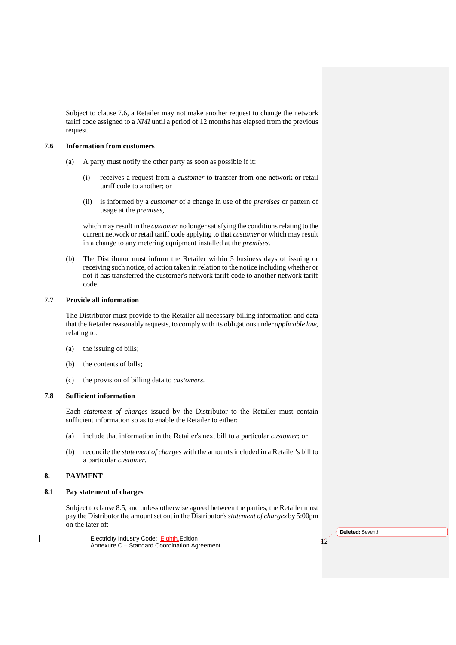Subject to clause 7.6, a Retailer may not make another request to change the network tariff code assigned to a *NMI* until a period of 12 months has elapsed from the previous request.

# **7.6 Information from customers**

- (a) A party must notify the other party as soon as possible if it:
	- (i) receives a request from a *customer* to transfer from one network or retail tariff code to another; or
	- (ii) is informed by a *customer* of a change in use of the *premises* or pattern of usage at the *premises*,

which may result in the *customer* no longer satisfying the conditions relating to the current network or retail tariff code applying to that *customer* or which may result in a change to any metering equipment installed at the *premises*.

(b) The Distributor must inform the Retailer within 5 business days of issuing or receiving such notice, of action taken in relation to the notice including whether or not it has transferred the customer's network tariff code to another network tariff code.

# **7.7 Provide all information**

The Distributor must provide to the Retailer all necessary billing information and data that the Retailer reasonably requests, to comply with its obligations under *applicable law*, relating to:

- (a) the issuing of bills;
- (b) the contents of bills;
- (c) the provision of billing data to *customers*.

# **7.8 Sufficient information**

Each *statement of charges* issued by the Distributor to the Retailer must contain sufficient information so as to enable the Retailer to either:

- (a) include that information in the Retailer's next bill to a particular *customer*; or
- (b) reconcile the *statement of charges* with the amounts included in a Retailer's bill to a particular *customer*.

# **8. PAYMENT**

# **8.1 Pay statement of charges**

Subject to clause 8.5, and unless otherwise agreed between the parties, the Retailer must pay the Distributor the amount set out in the Distributor's *statement of charges* by 5:00pm on the later of:

Electricity Industry Code: Eighth Edition<br>Annexure C – Standard Coordination Agreement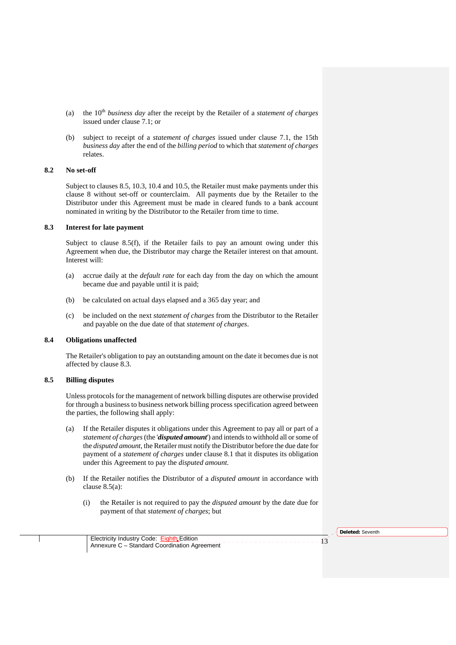- (a) the 10<sup>th</sup> *business day* after the receipt by the Retailer of a *statement of charges* issued under clause 7.1; or
- (b) subject to receipt of a *statement of charges* issued under clause 7.1, the 15th *business day* after the end of the *billing period* to which that *statement of charges* relates.

#### **8.2 No set-off**

Subject to clauses 8.5, 10.3, 10.4 and 10.5, the Retailer must make payments under this clause 8 without set-off or counterclaim. All payments due by the Retailer to the Distributor under this Agreement must be made in cleared funds to a bank account nominated in writing by the Distributor to the Retailer from time to time.

#### **8.3 Interest for late payment**

Subject to clause 8.5(f), if the Retailer fails to pay an amount owing under this Agreement when due, the Distributor may charge the Retailer interest on that amount. Interest will:

- (a) accrue daily at the *default rate* for each day from the day on which the amount became due and payable until it is paid;
- (b) be calculated on actual days elapsed and a 365 day year; and
- (c) be included on the next *statement of charges* from the Distributor to the Retailer and payable on the due date of that *statement of charges*.

# **8.4 Obligations unaffected**

The Retailer's obligation to pay an outstanding amount on the date it becomes due is not affected by clause 8.3.

#### **8.5 Billing disputes**

Unless protocols for the management of network billing disputes are otherwise provided for through a business to business network billing process specification agreed between the parties, the following shall apply:

- (a) If the Retailer disputes it obligations under this Agreement to pay all or part of a *statement of charges* (the '*disputed amount*') and intends to withhold all or some of the *disputed amount*, the Retailer must notify the Distributor before the due date for payment of a *statement of charges* under clause 8.1 that it disputes its obligation under this Agreement to pay the *disputed amount*.
- (b) If the Retailer notifies the Distributor of a *disputed amount* in accordance with clause 8.5(a):
	- (i) the Retailer is not required to pay the *disputed amount* by the date due for payment of that *statement of charges*; but

**Deleted:** Seventh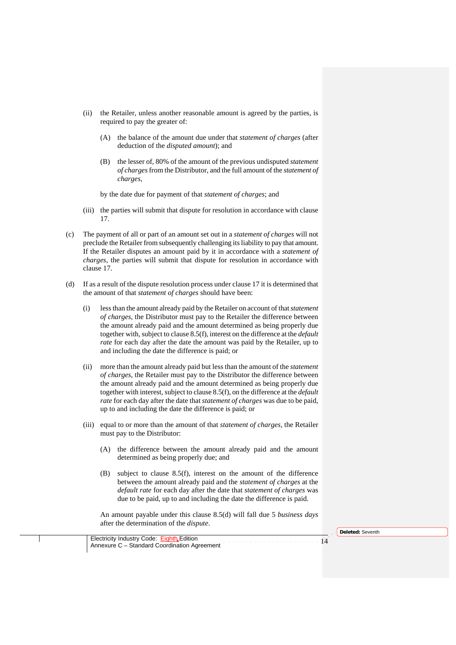- (ii) the Retailer, unless another reasonable amount is agreed by the parties, is required to pay the greater of:
	- (A) the balance of the amount due under that *statement of charges* (after deduction of the *disputed amount*); and
	- (B) the lesser of, 80% of the amount of the previous undisputed *statement of charges* from the Distributor, and the full amount of the *statement of charges*,

by the date due for payment of that *statement of charges*; and

- (iii) the parties will submit that dispute for resolution in accordance with clause 17.
- (c) The payment of all or part of an amount set out in a *statement of charges* will not preclude the Retailer from subsequently challenging its liability to pay that amount. If the Retailer disputes an amount paid by it in accordance with a *statement of charges*, the parties will submit that dispute for resolution in accordance with clause 17.
- (d) If as a result of the dispute resolution process under clause 17 it is determined that the amount of that *statement of charges* should have been:
	- (i) less than the amount already paid by the Retailer on account of that *statement of charges*, the Distributor must pay to the Retailer the difference between the amount already paid and the amount determined as being properly due together with, subject to clause 8.5(f), interest on the difference at the *default rate* for each day after the date the amount was paid by the Retailer, up to and including the date the difference is paid; or
	- (ii) more than the amount already paid but less than the amount of the *statement of charges*, the Retailer must pay to the Distributor the difference between the amount already paid and the amount determined as being properly due together with interest, subject to clause 8.5(f), on the difference at the *default rate* for each day after the date that *statement of charges* was due to be paid, up to and including the date the difference is paid; or
	- (iii) equal to or more than the amount of that *statement of charges*, the Retailer must pay to the Distributor:
		- (A) the difference between the amount already paid and the amount determined as being properly due; and
		- (B) subject to clause 8.5(f), interest on the amount of the difference between the amount already paid and the *statement of charges* at the *default rate* for each day after the date that *statement of charges* was due to be paid, up to and including the date the difference is paid.

An amount payable under this clause 8.5(d) will fall due 5 *business days* after the determination of the *dispute*.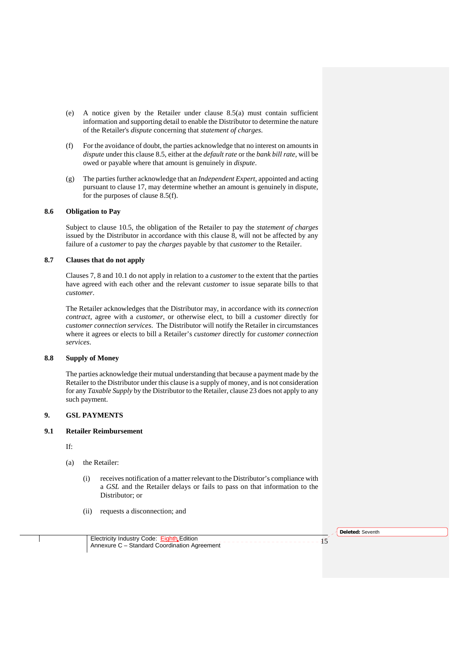- (e) A notice given by the Retailer under clause 8.5(a) must contain sufficient information and supporting detail to enable the Distributor to determine the nature of the Retailer's *dispute* concerning that *statement of charges*.
- (f) For the avoidance of doubt, the parties acknowledge that no interest on amounts in *dispute* under this clause 8.5, either at the *default rate* or the *bank bill rate*, will be owed or payable where that amount is genuinely in *dispute*.
- (g) The parties further acknowledge that an *Independent Expert*, appointed and acting pursuant to clause 17, may determine whether an amount is genuinely in dispute, for the purposes of clause 8.5(f).

# **8.6 Obligation to Pay**

Subject to clause 10.5, the obligation of the Retailer to pay the *statement of charges* issued by the Distributor in accordance with this clause 8, will not be affected by any failure of a *customer* to pay the *charges* payable by that *customer* to the Retailer.

# **8.7 Clauses that do not apply**

Clauses 7, 8 and 10.1 do not apply in relation to a *customer* to the extent that the parties have agreed with each other and the relevant *customer* to issue separate bills to that *customer*.

The Retailer acknowledges that the Distributor may, in accordance with its *connection contract*, agree with a *customer*, or otherwise elect, to bill a *customer* directly for *customer connection services*. The Distributor will notify the Retailer in circumstances where it agrees or elects to bill a Retailer's *customer* directly for *customer connection services*.

# **8.8 Supply of Money**

The parties acknowledge their mutual understanding that because a payment made by the Retailer to the Distributor under this clause is a supply of money, and is not consideration for any *Taxable Supply* by the Distributor to the Retailer, clause 23 does not apply to any such payment.

# **9. GSL PAYMENTS**

# **9.1 Retailer Reimbursement**

If:

- (a) the Retailer:
	- (i) receives notification of a matter relevant to the Distributor's compliance with a *GSL* and the Retailer delays or fails to pass on that information to the Distributor; or
	- (ii) requests a disconnection; and

**Deleted:** Seventh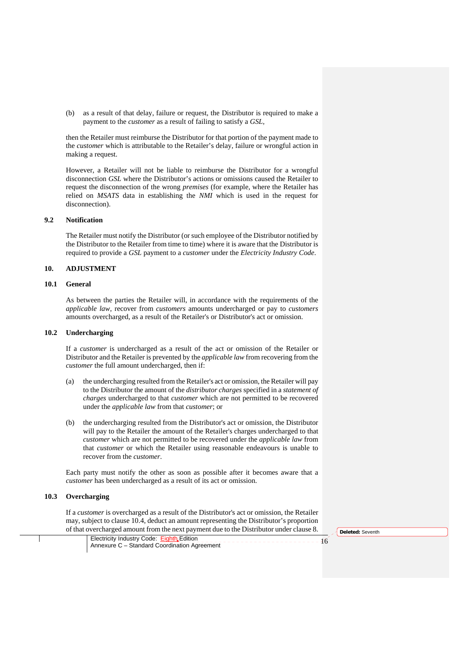(b) as a result of that delay, failure or request, the Distributor is required to make a payment to the *customer* as a result of failing to satisfy a *GSL*,

then the Retailer must reimburse the Distributor for that portion of the payment made to the *customer* which is attributable to the Retailer's delay, failure or wrongful action in making a request.

However, a Retailer will not be liable to reimburse the Distributor for a wrongful disconnection *GSL* where the Distributor's actions or omissions caused the Retailer to request the disconnection of the wrong *premises* (for example, where the Retailer has relied on *MSATS* data in establishing the *NMI* which is used in the request for disconnection).

#### **9.2 Notification**

The Retailer must notify the Distributor (or such employee of the Distributor notified by the Distributor to the Retailer from time to time) where it is aware that the Distributor is required to provide a *GSL* payment to a *customer* under the *Electricity Industry Code*.

# **10. ADJUSTMENT**

#### **10.1 General**

As between the parties the Retailer will, in accordance with the requirements of the *applicable law,* recover from *customers* amounts undercharged or pay to *customers*  amounts overcharged, as a result of the Retailer's or Distributor's act or omission.

#### **10.2 Undercharging**

If a *customer* is undercharged as a result of the act or omission of the Retailer or Distributor and the Retailer is prevented by the *applicable law* from recovering from the *customer* the full amount undercharged, then if:

- (a) the undercharging resulted from the Retailer's act or omission, the Retailer will pay to the Distributor the amount of the *distributor charges* specified in a *statement of charges* undercharged to that *customer* which are not permitted to be recovered under the *applicable law* from that *customer*; or
- (b) the undercharging resulted from the Distributor's act or omission, the Distributor will pay to the Retailer the amount of the Retailer's charges undercharged to that *customer* which are not permitted to be recovered under the *applicable law* from that *customer* or which the Retailer using reasonable endeavours is unable to recover from the *customer*.

Each party must notify the other as soon as possible after it becomes aware that a *customer* has been undercharged as a result of its act or omission.

# **10.3 Overcharging**

If a *customer* is overcharged as a result of the Distributor's act or omission, the Retailer may, subject to clause 10.4, deduct an amount representing the Distributor's proportion of that overcharged amount from the next payment due to the Distributor under clause 8.

Electricity Industry Code: Eighth Edition<br>Annexure C – Standard Coordination Agreement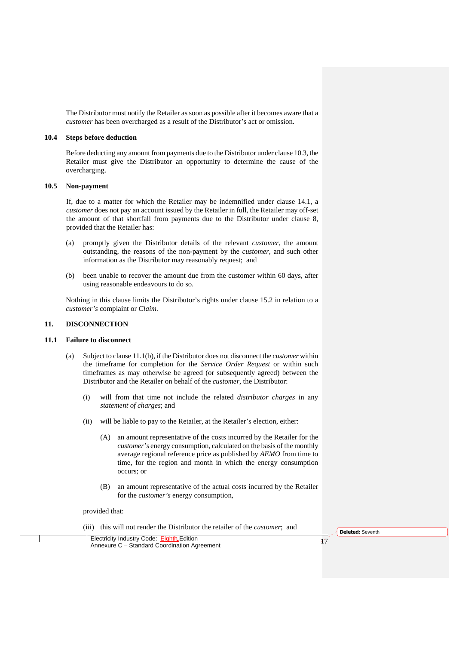The Distributor must notify the Retailer as soon as possible after it becomes aware that a *customer* has been overcharged as a result of the Distributor's act or omission.

#### **10.4 Steps before deduction**

Before deducting any amount from payments due to the Distributor under clause 10.3, the Retailer must give the Distributor an opportunity to determine the cause of the overcharging.

#### **10.5 Non-payment**

If, due to a matter for which the Retailer may be indemnified under clause 14.1, a *customer* does not pay an account issued by the Retailer in full, the Retailer may off-set the amount of that shortfall from payments due to the Distributor under clause 8, provided that the Retailer has:

- (a) promptly given the Distributor details of the relevant *customer*, the amount outstanding, the reasons of the non-payment by the *customer*, and such other information as the Distributor may reasonably request; and
- (b) been unable to recover the amount due from the customer within 60 days, after using reasonable endeavours to do so.

Nothing in this clause limits the Distributor's rights under clause 15.2 in relation to a *customer's* complaint or *Claim*.

#### **11. DISCONNECTION**

#### **11.1 Failure to disconnect**

- (a) Subject to clause 11.1(b), if the Distributor does not disconnect the *customer* within the timeframe for completion for the *Service Order Request* or within such timeframes as may otherwise be agreed (or subsequently agreed) between the Distributor and the Retailer on behalf of the *customer*, the Distributor:
	- (i) will from that time not include the related *distributor charges* in any *statement of charges*; and
	- (ii) will be liable to pay to the Retailer, at the Retailer's election, either:
		- (A) an amount representative of the costs incurred by the Retailer for the *customer's* energy consumption, calculated on the basis of the monthly average regional reference price as published by *AEMO* from time to time, for the region and month in which the energy consumption occurs; or
		- (B) an amount representative of the actual costs incurred by the Retailer for the *customer's* energy consumption,

provided that:

(iii) this will not render the Distributor the retailer of the *customer*; and

**Deleted:** Seventh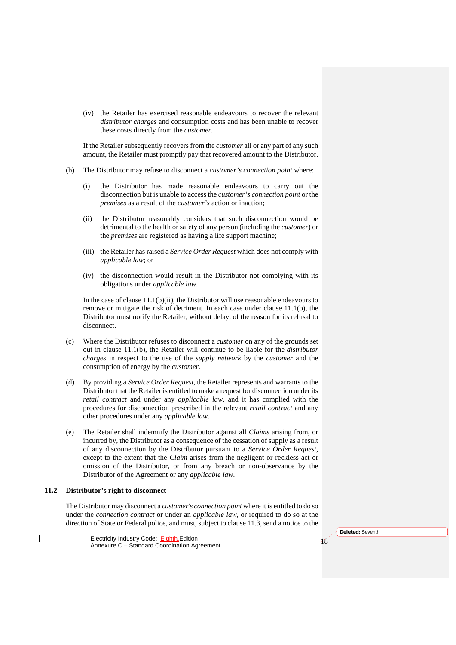(iv) the Retailer has exercised reasonable endeavours to recover the relevant *distributor charges* and consumption costs and has been unable to recover these costs directly from the *customer*.

If the Retailer subsequently recovers from the *customer* all or any part of any such amount, the Retailer must promptly pay that recovered amount to the Distributor.

- (b) The Distributor may refuse to disconnect a *customer's connection point* where:
	- (i) the Distributor has made reasonable endeavours to carry out the disconnection but is unable to access the *customer's connection point* or the *premises* as a result of the *customer's* action or inaction;
	- (ii) the Distributor reasonably considers that such disconnection would be detrimental to the health or safety of any person (including the *customer*) or the *premises* are registered as having a life support machine;
	- (iii) the Retailer has raised a *Service Order Request* which does not comply with *applicable law*; or
	- (iv) the disconnection would result in the Distributor not complying with its obligations under *applicable law*.

In the case of clause  $11.1(b)(ii)$ , the Distributor will use reasonable endeavours to remove or mitigate the risk of detriment. In each case under clause 11.1(b), the Distributor must notify the Retailer, without delay, of the reason for its refusal to disconnect.

- (c) Where the Distributor refuses to disconnect a *customer* on any of the grounds set out in clause 11.1(b), the Retailer will continue to be liable for the *distributor charges* in respect to the use of the *supply network* by the *customer* and the consumption of energy by the *customer*.
- (d) By providing a *Service Order Request*, the Retailer represents and warrants to the Distributor that the Retailer is entitled to make a request for disconnection under its *retail contract* and under any *applicable law*, and it has complied with the procedures for disconnection prescribed in the relevant *retail contract* and any other procedures under any *applicable law*.
- (e) The Retailer shall indemnify the Distributor against all *Claims* arising from, or incurred by, the Distributor as a consequence of the cessation of supply as a result of any disconnection by the Distributor pursuant to a *Service Order Request*, except to the extent that the *Claim* arises from the negligent or reckless act or omission of the Distributor, or from any breach or non-observance by the Distributor of the Agreement or any *applicable law*.

### **11.2 Distributor's right to disconnect**

The Distributor may disconnect a *customer's connection point* where it is entitled to do so under the *connection contract* or under an *applicable law,* or required to do so at the direction of State or Federal police, and must, subject to clause 11.3, send a notice to the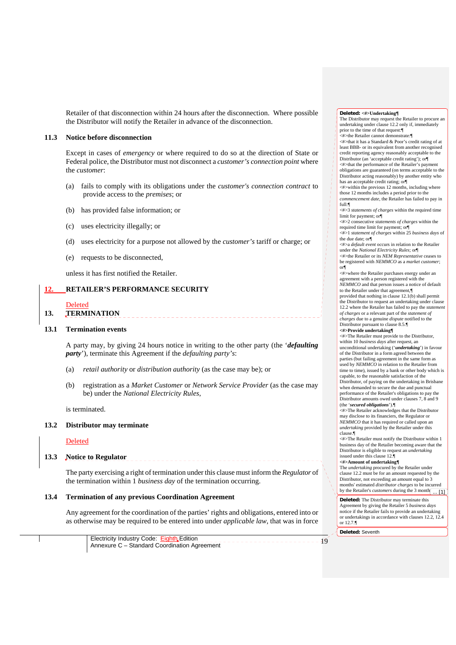Retailer of that disconnection within 24 hours after the disconnection. Where possible the Distributor will notify the Retailer in advance of the disconnection.

#### **11.3 Notice before disconnection**

Except in cases of *emergency* or where required to do so at the direction of State or Federal police, the Distributor must not disconnect a *customer's connection point* where the *customer*:

- (a) fails to comply with its obligations under the *customer's connection contract* to provide access to the *premises*; or
- (b) has provided false information; or
- (c) uses electricity illegally; or
- (d) uses electricity for a purpose not allowed by the *customer's* tariff or charge; or
- (e) requests to be disconnected,

unless it has first notified the Retailer.

# **12. RETAILER'S PERFORMANCE SECURITY**

#### Deleted

**13. TERMINATION** 

#### **13.1 Termination events**

A party may, by giving 24 hours notice in writing to the other party (the '*defaulting party*'), terminate this Agreement if the *defaulting party's*:

- (a) *retail authority* or *distribution authority* (as the case may be); or
- (b) registration as a *Market Customer* or *Network Service Provider* (as the case may be) under the *National Electricity Rules*,

is terminated.

#### **13.2 Distributor may terminate**

#### Deleted

**13.3 Notice to Regulator** 

The party exercising a right of termination under this clause must inform the *Regulator* of the termination within 1 *business day* of the termination occurring.

#### **13.4 Termination of any previous Coordination Agreement**

Any agreement for the coordination of the parties' rights and obligations, entered into or as otherwise may be required to be entered into under *applicable law*, that was in force

Electricity Industry Code: Eighth Edition Annexure C – Standard Coordination Agreement **Deleted: <#>Undertaking¶** The Distributor may request the Retailer to procure an undertaking under clause 12.2 only if, immediately prior to the time of that request:¶ <#>the Retailer cannot demonstrate:¶ <#>that it has a Standard & Poor's credit rating of at least BBB- or its equivalent from another recognised credit reporting agency reasonably acceptable to the Distributor (an 'acceptable credit rating'); or¶ <#>that the performance of the Retailer's payment obligations are guaranteed (on terms acceptable to the Distributor acting reasonably) by another entity who has an acceptable credit rating; or¶  $\leq$ #>within the previous 12 months, including where those 12 months includes a period prior to the *commencement date*, the Retailer has failed to pay in full:¶ <#>3 *statements of charges* within the required time limit for payment; or¶ <#>2 consecutive *statements of charges* within the required time limit for payment; or¶ <#>1 *statement of charges* within 25 *business days* of the due date; or¶ <#>a *default event* occurs in relation to the Retailer under the *National Electricity Rules*; or¶ <#>the Retailer or its *NEM Representative* ceases to be registered with *NEMMCO* as a *market customer*; or¶  $\leq$ #>where the Retailer purchases energy under an agreement with a person registered with the *NEMMCO* and that person issues a notice of default to the Retailer under that agreement,¶ provided that nothing in clause 12.1(b) shall permit the Distributor to request an undertaking under clause 12.2 where the Retailer has failed to pay the *statement of charges* or a relevant part of the *statement of charges* due to a genuine *dispute* notified to the Distributor pursuant to clause 8.5.¶ **<#>Provide undertaking¶** <#>The Retailer must provide to the Distributor, within 10 *business days* after request, an unconditional undertaking ('*undertaking*') in favour of the Distributor in a form agreed between the parties (but failing agreement in the same form as used by *NEMMCO* in relation to the Retailer from time to time), issued by a bank or other body which is capable, to the reasonable satisfaction of the Distributor, of paying on the undertaking in Brisbane when demanded to secure the due and punctual performance of the Retailer's obligations to pay the Distributor amounts owed under clauses 7, 8 and 9 (the '*secured obligations*').¶ <#>The Retailer acknowledges that the Distributor may disclose to its financiers, the Regulator or *NEMMCO* that it has required or called upon an *undertaking* provided by the Retailer under this clause.¶ <#>The Retailer must notify the Distributor within 1 business day of the Retailer becoming aware that the Distributor is eligible to request an *undertaking* issued under this clause 12.¶ **<#>Amount of undertaking¶** The *undertaking* procured by the Retailer under clause 12.2 must be for an amount requested by the Distributor, not exceeding an amount equal to 3 months' estimated *distributor charges* to be incurred by the Retailer's *customers* during the 3 month **Deleted:** The Distributor may terminate this Agreement by giving the Retailer 5 *business days*  notice if the Retailer fails to provide an undertaking or undertakings in accordance with clauses 12.2, 12.4 or 12.7.¶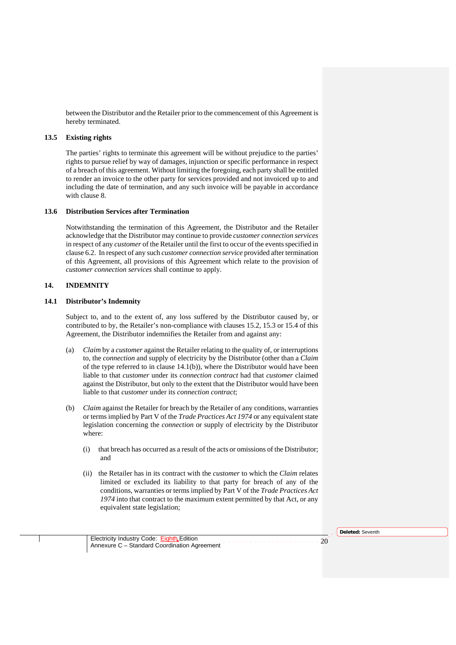between the Distributor and the Retailer prior to the commencement of this Agreement is hereby terminated.

# **13.5 Existing rights**

The parties' rights to terminate this agreement will be without prejudice to the parties' rights to pursue relief by way of damages, injunction or specific performance in respect of a breach of this agreement. Without limiting the foregoing, each party shall be entitled to render an invoice to the other party for services provided and not invoiced up to and including the date of termination, and any such invoice will be payable in accordance with clause 8.

#### **13.6 Distribution Services after Termination**

Notwithstanding the termination of this Agreement, the Distributor and the Retailer acknowledge that the Distributor may continue to provide *customer connection services* in respect of any *customer* of the Retailer until the first to occur of the events specified in clause 6.2. In respect of any such *customer connection service* provided after termination of this Agreement, all provisions of this Agreement which relate to the provision of *customer connection services* shall continue to apply.

# **14. INDEMNITY**

#### **14.1 Distributor's Indemnity**

Subject to, and to the extent of, any loss suffered by the Distributor caused by, or contributed to by, the Retailer's non-compliance with clauses 15.2, 15.3 or 15.4 of this Agreement, the Distributor indemnifies the Retailer from and against any:

- (a) *Claim* by a *customer* against the Retailer relating to the quality of, or interruptions to, the *connection* and supply of electricity by the Distributor (other than a *Claim* of the type referred to in clause 14.1(b)), where the Distributor would have been liable to that *customer* under its *connection contract* had that *customer* claimed against the Distributor, but only to the extent that the Distributor would have been liable to that *customer* under its *connection contract*;
- (b) *Claim* against the Retailer for breach by the Retailer of any conditions, warranties or terms implied by Part V of the *Trade Practices Act 1974* or any equivalent state legislation concerning the *connection* or supply of electricity by the Distributor where:
	- (i) that breach has occurred as a result of the acts or omissions of the Distributor; and
	- (ii) the Retailer has in its contract with the *customer* to which the *Claim* relates limited or excluded its liability to that party for breach of any of the conditions, warranties or terms implied by Part V of the *Trade Practices Act 1974* into that contract to the maximum extent permitted by that Act, or any equivalent state legislation;

**Deleted:** Seventh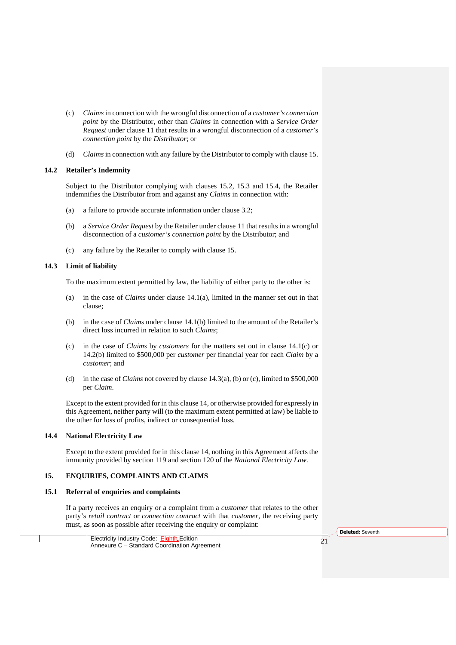- (c) *Claims* in connection with the wrongful disconnection of a *customer's connection point* by the Distributor, other than *Claims* in connection with a *Service Order Request* under clause 11 that results in a wrongful disconnection of a *customer*'s *connection point* by the *Distributor*; or
- (d) *Claims* in connection with any failure by the Distributor to comply with clause 15.

# **14.2 Retailer's Indemnity**

Subject to the Distributor complying with clauses 15.2, 15.3 and 15.4, the Retailer indemnifies the Distributor from and against any *Claims* in connection with:

- (a) a failure to provide accurate information under clause 3.2;
- (b) a *Service Order Request* by the Retailer under clause 11 that results in a wrongful disconnection of a *customer's connection point* by the Distributor; and
- (c) any failure by the Retailer to comply with clause 15.

#### **14.3 Limit of liability**

To the maximum extent permitted by law, the liability of either party to the other is:

- (a) in the case of *Claims* under clause 14.1(a), limited in the manner set out in that clause;
- (b) in the case of *Claims* under clause 14.1(b) limited to the amount of the Retailer's direct loss incurred in relation to such *Claims*;
- (c) in the case of *Claims* by *customers* for the matters set out in clause 14.1(c) or 14.2(b) limited to \$500,000 per *customer* per financial year for each *Claim* by a *customer*; and
- (d) in the case of *Claims* not covered by clause 14.3(a), (b) or (c), limited to \$500,000 per *Claim*.

Except to the extent provided for in this clause 14, or otherwise provided for expressly in this Agreement, neither party will (to the maximum extent permitted at law) be liable to the other for loss of profits, indirect or consequential loss.

#### **14.4 National Electricity Law**

Except to the extent provided for in this clause 14, nothing in this Agreement affects the immunity provided by section 119 and section 120 of the *National Electricity Law*.

# **15. ENQUIRIES, COMPLAINTS AND CLAIMS**

#### **15.1 Referral of enquiries and complaints**

If a party receives an enquiry or a complaint from a *customer* that relates to the other party's *retail contract* or *connection contract* with that *customer*, the receiving party must, as soon as possible after receiving the enquiry or complaint: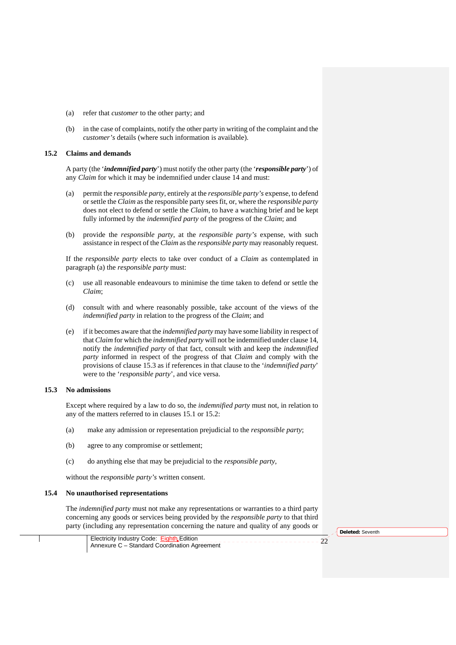- (a) refer that *customer* to the other party; and
- (b) in the case of complaints, notify the other party in writing of the complaint and the *customer's* details (where such information is available).

#### **15.2 Claims and demands**

A party (the '*indemnified party*') must notify the other party (the '*responsible party*') of any *Claim* for which it may be indemnified under clause 14 and must:

- (a) permit the *responsible party*, entirely at the *responsible party's* expense, to defend or settle the *Claim* as the responsible party sees fit, or, where the *responsible party* does not elect to defend or settle the *Claim*, to have a watching brief and be kept fully informed by the *indemnified party* of the progress of the *Claim*; and
- (b) provide the *responsible party*, at the *responsible party's* expense, with such assistance in respect of the *Claim* as the *responsible party* may reasonably request.

If the *responsible party* elects to take over conduct of a *Claim* as contemplated in paragraph (a) the *responsible party* must:

- (c) use all reasonable endeavours to minimise the time taken to defend or settle the *Claim*;
- (d) consult with and where reasonably possible, take account of the views of the *indemnified party* in relation to the progress of the *Claim*; and
- (e) if it becomes aware that the *indemnified party* may have some liability in respect of that *Claim* for which the *indemnified party* will not be indemnified under clause 14, notify the *indemnified party* of that fact, consult with and keep the *indemnified party* informed in respect of the progress of that *Claim* and comply with the provisions of clause 15.3 as if references in that clause to the '*indemnified party*' were to the '*responsible party*', and vice versa.

### **15.3 No admissions**

Except where required by a law to do so, the *indemnified party* must not, in relation to any of the matters referred to in clauses 15.1 or 15.2:

- (a) make any admission or representation prejudicial to the *responsible party*;
- (b) agree to any compromise or settlement;
- (c) do anything else that may be prejudicial to the *responsible party*,

without the *responsible party's* written consent.

# **15.4 No unauthorised representations**

The *indemnified party* must not make any representations or warranties to a third party concerning any goods or services being provided by the *responsible party* to that third party (including any representation concerning the nature and quality of any goods or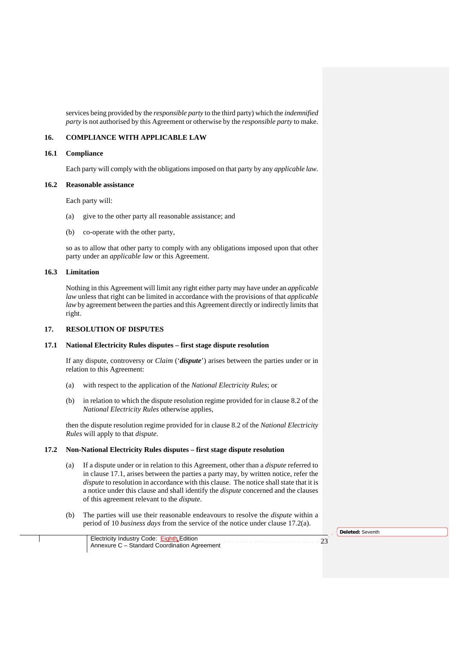services being provided by the *responsible party* to the third party) which the *indemnified party* is not authorised by this Agreement or otherwise by the *responsible party* to make.

# **16. COMPLIANCE WITH APPLICABLE LAW**

#### **16.1 Compliance**

Each party will comply with the obligations imposed on that party by any *applicable law.*

#### **16.2 Reasonable assistance**

Each party will:

- (a) give to the other party all reasonable assistance; and
- (b) co-operate with the other party,

so as to allow that other party to comply with any obligations imposed upon that other party under an *applicable law* or this Agreement.

# **16.3 Limitation**

Nothing in this Agreement will limit any right either party may have under an *applicable law* unless that right can be limited in accordance with the provisions of that *applicable law* by agreement between the parties and this Agreement directly or indirectly limits that right.

#### **17. RESOLUTION OF DISPUTES**

#### **17.1 National Electricity Rules disputes – first stage dispute resolution**

If any dispute, controversy or *Claim* ('*dispute*') arises between the parties under or in relation to this Agreement:

- (a) with respect to the application of the *National Electricity Rules*; or
- (b) in relation to which the dispute resolution regime provided for in clause 8.2 of the *National Electricity Rules* otherwise applies,

then the dispute resolution regime provided for in clause 8.2 of the *National Electricity Rules* will apply to that *dispute*.

## **17.2 Non-National Electricity Rules disputes – first stage dispute resolution**

- (a) If a dispute under or in relation to this Agreement, other than a *dispute* referred to in clause 17.1, arises between the parties a party may, by written notice, refer the *dispute* to resolution in accordance with this clause. The notice shall state that it is a notice under this clause and shall identify the *dispute* concerned and the clauses of this agreement relevant to the *dispute*.
- (b) The parties will use their reasonable endeavours to resolve the *dispute* within a period of 10 *business days* from the service of the notice under clause 17.2(a).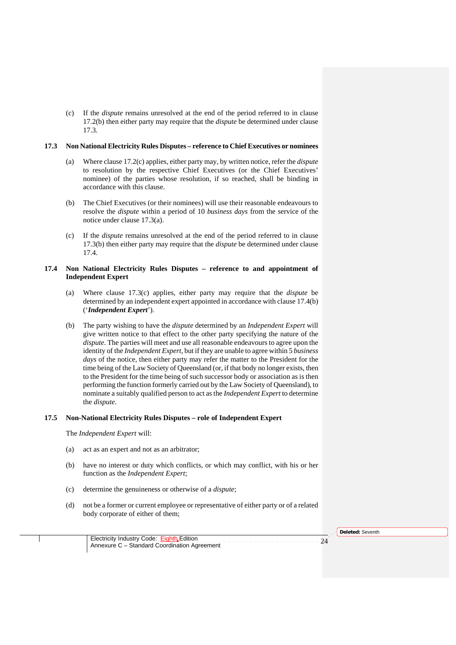(c) If the *dispute* remains unresolved at the end of the period referred to in clause 17.2(b) then either party may require that the *dispute* be determined under clause 17.3.

#### **17.3 Non National Electricity Rules Disputes – reference to Chief Executives or nominees**

- (a) Where clause 17.2(c) applies, either party may, by written notice, refer the *dispute*  to resolution by the respective Chief Executives (or the Chief Executives' nominee) of the parties whose resolution, if so reached, shall be binding in accordance with this clause.
- (b) The Chief Executives (or their nominees) will use their reasonable endeavours to resolve the *dispute* within a period of 10 *business days* from the service of the notice under clause 17.3(a).
- (c) If the *dispute* remains unresolved at the end of the period referred to in clause 17.3(b) then either party may require that the *dispute* be determined under clause 17.4.

# **17.4 Non National Electricity Rules Disputes – reference to and appointment of Independent Expert**

- (a) Where clause 17.3(c) applies, either party may require that the *dispute* be determined by an independent expert appointed in accordance with clause 17.4(b) ('*Independent Expert*').
- (b) The party wishing to have the *dispute* determined by an *Independent Expert* will give written notice to that effect to the other party specifying the nature of the *dispute*. The parties will meet and use all reasonable endeavours to agree upon the identity of the *Independent Expert*, but if they are unable to agree within 5 *business days* of the notice, then either party may refer the matter to the President for the time being of the Law Society of Queensland (or, if that body no longer exists, then to the President for the time being of such successor body or association as is then performing the function formerly carried out by the Law Society of Queensland), to nominate a suitably qualified person to act as the *Independent Expert* to determine the *dispute*.

#### **17.5 Non-National Electricity Rules Disputes – role of Independent Expert**

The *Independent Expert* will:

- (a) act as an expert and not as an arbitrator;
- (b) have no interest or duty which conflicts, or which may conflict, with his or her function as the *Independent Expert*;
- (c) determine the genuineness or otherwise of a *dispute*;
- (d) not be a former or current employee or representative of either party or of a related body corporate of either of them;

**Deleted:** Seventh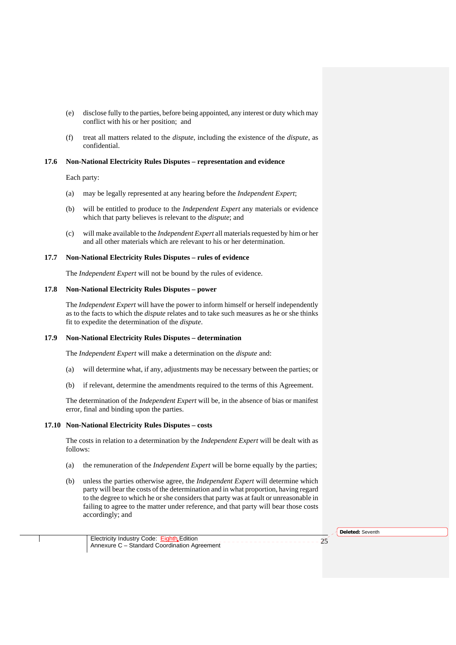- (e) disclose fully to the parties, before being appointed, any interest or duty which may conflict with his or her position; and
- (f) treat all matters related to the *dispute*, including the existence of the *dispute*, as confidential.

# **17.6 Non-National Electricity Rules Disputes – representation and evidence**

Each party:

- (a) may be legally represented at any hearing before the *Independent Expert*;
- (b) will be entitled to produce to the *Independent Expert* any materials or evidence which that party believes is relevant to the *dispute*; and
- (c) will make available to the *Independent Expert* all materials requested by him or her and all other materials which are relevant to his or her determination.

# **17.7 Non-National Electricity Rules Disputes – rules of evidence**

The *Independent Expert* will not be bound by the rules of evidence.

# **17.8 Non-National Electricity Rules Disputes – power**

The *Independent Expert* will have the power to inform himself or herself independently as to the facts to which the *dispute* relates and to take such measures as he or she thinks fit to expedite the determination of the *dispute*.

#### **17.9 Non-National Electricity Rules Disputes – determination**

The *Independent Expert* will make a determination on the *dispute* and:

- (a) will determine what, if any, adjustments may be necessary between the parties; or
- (b) if relevant, determine the amendments required to the terms of this Agreement.

The determination of the *Independent Expert* will be, in the absence of bias or manifest error, final and binding upon the parties.

### **17.10 Non-National Electricity Rules Disputes – costs**

The costs in relation to a determination by the *Independent Expert* will be dealt with as follows:

- (a) the remuneration of the *Independent Expert* will be borne equally by the parties;
- (b) unless the parties otherwise agree, the *Independent Expert* will determine which party will bear the costs of the determination and in what proportion, having regard to the degree to which he or she considers that party was at fault or unreasonable in failing to agree to the matter under reference, and that party will bear those costs accordingly; and

**Deleted:** Seventh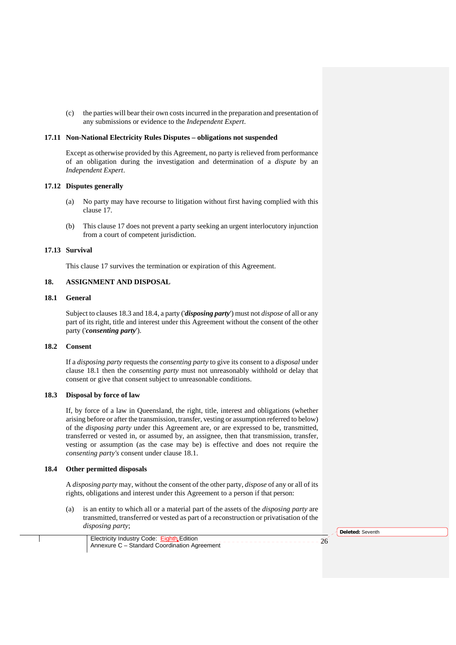(c) the parties will bear their own costs incurred in the preparation and presentation of any submissions or evidence to the *Independent Expert*.

# **17.11 Non-National Electricity Rules Disputes – obligations not suspended**

Except as otherwise provided by this Agreement, no party is relieved from performance of an obligation during the investigation and determination of a *dispute* by an *Independent Expert*.

#### **17.12 Disputes generally**

- (a) No party may have recourse to litigation without first having complied with this clause 17.
- (b) This clause 17 does not prevent a party seeking an urgent interlocutory injunction from a court of competent jurisdiction.

## **17.13 Survival**

This clause 17 survives the termination or expiration of this Agreement.

# **18. ASSIGNMENT AND DISPOSAL**

# **18.1 General**

Subject to clauses 18.3 and 18.4, a party ('*disposing party*') must not *dispose* of all or any part of its right, title and interest under this Agreement without the consent of the other party ('*consenting party*').

#### **18.2 Consent**

If a *disposing party* requests the *consenting party* to give its consent to a *disposal* under clause 18.1 then the *consenting party* must not unreasonably withhold or delay that consent or give that consent subject to unreasonable conditions.

#### **18.3 Disposal by force of law**

If, by force of a law in Queensland, the right, title, interest and obligations (whether arising before or after the transmission, transfer, vesting or assumption referred to below) of the *disposing party* under this Agreement are, or are expressed to be, transmitted, transferred or vested in, or assumed by, an assignee, then that transmission, transfer, vesting or assumption (as the case may be) is effective and does not require the *consenting party's* consent under clause 18.1.

## **18.4 Other permitted disposals**

A *disposing party* may, without the consent of the other party, *dispose* of any or all of its rights, obligations and interest under this Agreement to a person if that person:

(a) is an entity to which all or a material part of the assets of the *disposing party* are transmitted, transferred or vested as part of a reconstruction or privatisation of the *disposing party*;

**Deleted:** Seventh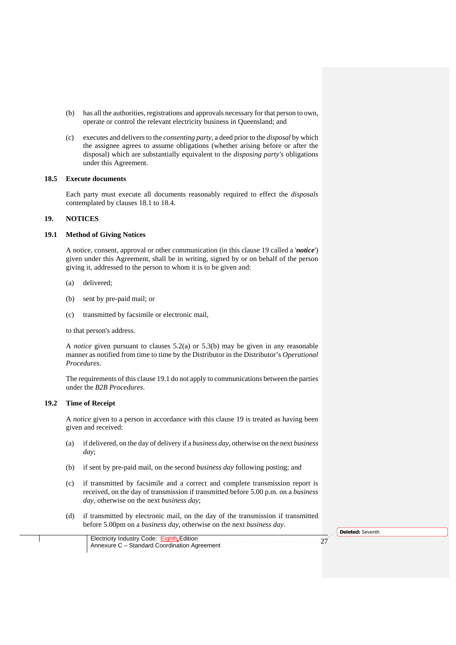- (b) has all the authorities, registrations and approvals necessary for that person to own, operate or control the relevant electricity business in Queensland; and
- (c) executes and delivers to the *consenting party*, a deed prior to the *disposal* by which the assignee agrees to assume obligations (whether arising before or after the disposal) which are substantially equivalent to the *disposing party's* obligations under this Agreement.

#### **18.5 Execute documents**

Each party must execute all documents reasonably required to effect the *disposals* contemplated by clauses 18.1 to 18.4.

# **19. NOTICES**

#### **19.1 Method of Giving Notices**

A notice, consent, approval or other communication (in this clause 19 called a '*notice*') given under this Agreement, shall be in writing, signed by or on behalf of the person giving it, addressed to the person to whom it is to be given and:

- (a) delivered;
- (b) sent by pre-paid mail; or
- (c) transmitted by facsimile or electronic mail,

to that person's address.

A *notice* given pursuant to clauses 5.2(a) or 5.3(b) may be given in any reasonable manner as notified from time to time by the Distributor in the Distributor's *Operational Procedures*.

The requirements of this clause 19.1 do not apply to communications between the parties under the *B2B Procedures*.

#### **19.2 Time of Receipt**

A *notice* given to a person in accordance with this clause 19 is treated as having been given and received:

- (a) if delivered, on the day of delivery if a *business day*, otherwise on the next *business day*;
- (b) if sent by pre-paid mail, on the second *business day* following posting; and
- (c) if transmitted by facsimile and a correct and complete transmission report is received, on the day of transmission if transmitted before 5.00 p.m. on a *business day*, otherwise on the next *business day*;
- (d) if transmitted by electronic mail, on the day of the transmission if transmitted before 5.00pm on a *business day*, otherwise on the next *business day*.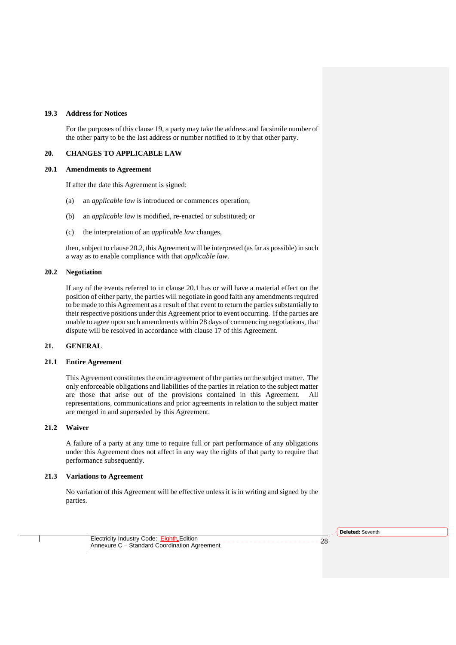# **19.3 Address for Notices**

For the purposes of this clause 19, a party may take the address and facsimile number of the other party to be the last address or number notified to it by that other party.

#### **20. CHANGES TO APPLICABLE LAW**

#### **20.1 Amendments to Agreement**

If after the date this Agreement is signed:

- (a) an *applicable law* is introduced or commences operation;
- (b) an *applicable law* is modified, re-enacted or substituted; or
- (c) the interpretation of an *applicable law* changes,

then, subject to clause 20.2, this Agreement will be interpreted (as far as possible) in such a way as to enable compliance with that *applicable law*.

# **20.2 Negotiation**

If any of the events referred to in clause 20.1 has or will have a material effect on the position of either party, the parties will negotiate in good faith any amendments required to be made to this Agreement as a result of that event to return the parties substantially to their respective positions under this Agreement prior to event occurring. If the parties are unable to agree upon such amendments within 28 days of commencing negotiations, that dispute will be resolved in accordance with clause 17 of this Agreement.

#### **21. GENERAL**

#### **21.1 Entire Agreement**

This Agreement constitutes the entire agreement of the parties on the subject matter. The only enforceable obligations and liabilities of the parties in relation to the subject matter are those that arise out of the provisions contained in this Agreement. All representations, communications and prior agreements in relation to the subject matter are merged in and superseded by this Agreement.

#### **21.2 Waiver**

A failure of a party at any time to require full or part performance of any obligations under this Agreement does not affect in any way the rights of that party to require that performance subsequently.

# **21.3 Variations to Agreement**

No variation of this Agreement will be effective unless it is in writing and signed by the parties.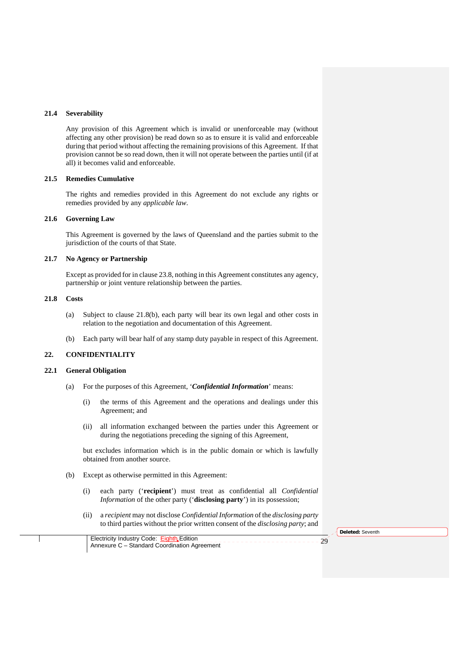#### **21.4 Severability**

Any provision of this Agreement which is invalid or unenforceable may (without affecting any other provision) be read down so as to ensure it is valid and enforceable during that period without affecting the remaining provisions of this Agreement. If that provision cannot be so read down, then it will not operate between the parties until (if at all) it becomes valid and enforceable.

#### **21.5 Remedies Cumulative**

The rights and remedies provided in this Agreement do not exclude any rights or remedies provided by any *applicable law*.

#### **21.6 Governing Law**

This Agreement is governed by the laws of Queensland and the parties submit to the jurisdiction of the courts of that State.

### **21.7 No Agency or Partnership**

Except as provided for in clause 23.8, nothing in this Agreement constitutes any agency, partnership or joint venture relationship between the parties.

# **21.8 Costs**

- (a) Subject to clause 21.8(b), each party will bear its own legal and other costs in relation to the negotiation and documentation of this Agreement.
- (b) Each party will bear half of any stamp duty payable in respect of this Agreement.

## **22. CONFIDENTIALITY**

## **22.1 General Obligation**

- (a) For the purposes of this Agreement, '*Confidential Information*' means:
	- (i) the terms of this Agreement and the operations and dealings under this Agreement; and
	- (ii) all information exchanged between the parties under this Agreement or during the negotiations preceding the signing of this Agreement,

but excludes information which is in the public domain or which is lawfully obtained from another source.

- (b) Except as otherwise permitted in this Agreement:
	- (i) each party ('**recipient**') must treat as confidential all *Confidential Information* of the other party ('**disclosing party**') in its possession;
	- (ii) a *recipient* may not disclose *Confidential Information* of the *disclosing party* to third parties without the prior written consent of the *disclosing party*; and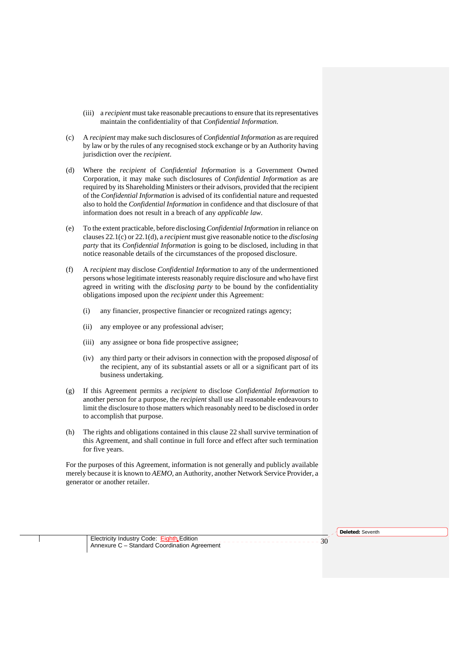- (iii) a *recipient* must take reasonable precautions to ensure that its representatives maintain the confidentiality of that *Confidential Information*.
- (c) A *recipient* may make such disclosures of *Confidential Information* as are required by law or by the rules of any recognised stock exchange or by an Authority having jurisdiction over the *recipient*.
- (d) Where the *recipient* of *Confidential Information* is a Government Owned Corporation, it may make such disclosures of *Confidential Information* as are required by its Shareholding Ministers or their advisors, provided that the recipient of the *Confidential Information* is advised of its confidential nature and requested also to hold the *Confidential Information* in confidence and that disclosure of that information does not result in a breach of any *applicable law*.
- (e) To the extent practicable, before disclosing *Confidential Information* in reliance on clauses 22.1(c) or 22.1(d), a *recipient* must give reasonable notice to the *disclosing party* that its *Confidential Information* is going to be disclosed, including in that notice reasonable details of the circumstances of the proposed disclosure.
- (f) A *recipient* may disclose *Confidential Information* to any of the undermentioned persons whose legitimate interests reasonably require disclosure and who have first agreed in writing with the *disclosing party* to be bound by the confidentiality obligations imposed upon the *recipient* under this Agreement:
	- (i) any financier, prospective financier or recognized ratings agency;
	- (ii) any employee or any professional adviser;
	- (iii) any assignee or bona fide prospective assignee;
	- (iv) any third party or their advisors in connection with the proposed *disposal* of the recipient, any of its substantial assets or all or a significant part of its business undertaking.
- (g) If this Agreement permits a *recipient* to disclose *Confidential Information* to another person for a purpose, the *recipient* shall use all reasonable endeavours to limit the disclosure to those matters which reasonably need to be disclosed in order to accomplish that purpose.
- (h) The rights and obligations contained in this clause 22 shall survive termination of this Agreement, and shall continue in full force and effect after such termination for five years.

For the purposes of this Agreement, information is not generally and publicly available merely because it is known to *AEMO*, an Authority, another Network Service Provider, a generator or another retailer.

**Deleted:** Seventh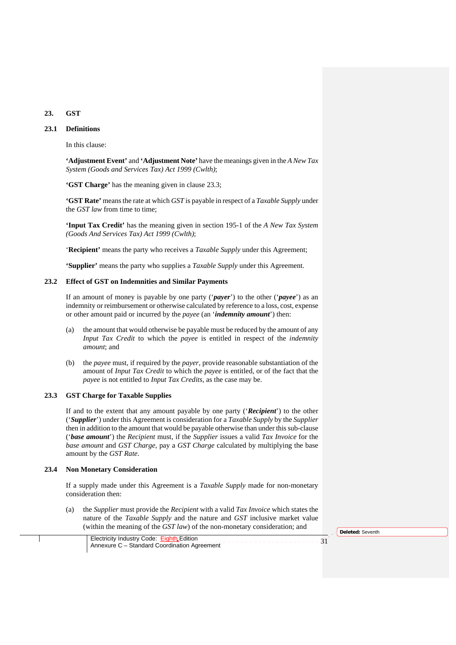# **23. GST**

# **23.1 Definitions**

In this clause:

**'Adjustment Event'** and **'Adjustment Note'** have the meanings given in the *A New Tax System (Goods and Services Tax) Act 1999 (Cwlth)*;

**'GST Charge'** has the meaning given in clause 23.3;

**'GST Rate'** means the rate at which *GST* is payable in respect of a *Taxable Supply* under the *GST law* from time to time;

**'Input Tax Credit'** has the meaning given in section 195-1 of the *A New Tax System (Goods And Services Tax) Act 1999 (Cwlth)*;

'**Recipient'** means the party who receives a *Taxable Supply* under this Agreement;

**'Supplier'** means the party who supplies a *Taxable Supply* under this Agreement.

#### **23.2 Effect of GST on Indemnities and Similar Payments**

If an amount of money is payable by one party ('*payer*') to the other ('*payee*') as an indemnity or reimbursement or otherwise calculated by reference to a loss, cost, expense or other amount paid or incurred by the *payee* (an '*indemnity amount*') then:

- (a) the amount that would otherwise be payable must be reduced by the amount of any *Input Tax Credit* to which the *payee* is entitled in respect of the *indemnity amount*; and
- (b) the *payee* must, if required by the *payer*, provide reasonable substantiation of the amount of *Input Tax Credit* to which the *payee* is entitled, or of the fact that the *payee* is not entitled to *Input Tax Credits*, as the case may be.

### **23.3 GST Charge for Taxable Supplies**

If and to the extent that any amount payable by one party ('*Recipient*') to the other ('*Supplier*') under this Agreement is consideration for a *Taxable Supply* by the *Supplier* then in addition to the amount that would be payable otherwise than under this sub-clause ('*base amount*') the *Recipient* must, if the *Supplier* issues a valid *Tax Invoice* for the *base amount* and *GST Charge*, pay a *GST Charge* calculated by multiplying the base amount by the *GST Rate*.

#### **23.4 Non Monetary Consideration**

If a supply made under this Agreement is a *Taxable Supply* made for non-monetary consideration then:

(a) the *Supplier* must provide the *Recipient* with a valid *Tax Invoice* which states the nature of the *Taxable Supply* and the nature and *GST* inclusive market value (within the meaning of the *GST law*) of the non-monetary consideration; and

**Deleted:** Seventh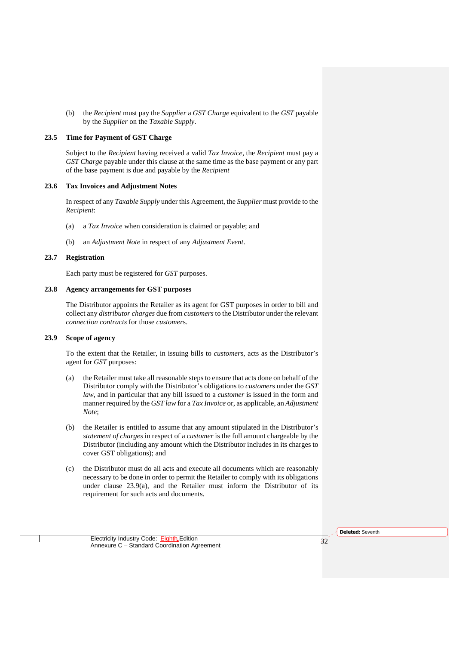(b) the *Recipient* must pay the *Supplier* a *GST Charge* equivalent to the *GST* payable by the *Supplier* on the *Taxable Supply*.

# **23.5 Time for Payment of GST Charge**

Subject to the *Recipient* having received a valid *Tax Invoice*, the *Recipient* must pay a *GST Charge* payable under this clause at the same time as the base payment or any part of the base payment is due and payable by the *Recipient*

#### **23.6 Tax Invoices and Adjustment Notes**

In respect of any *Taxable Supply* under this Agreement, the *Supplier* must provide to the *Recipient*:

- (a) a *Tax Invoice* when consideration is claimed or payable; and
- (b) an *Adjustment Note* in respect of any *Adjustment Event*.

#### **23.7 Registration**

Each party must be registered for *GST* purposes.

# **23.8 Agency arrangements for GST purposes**

The Distributor appoints the Retailer as its agent for GST purposes in order to bill and collect any *distributor charges* due from *customers* to the Distributor under the relevant *connection contracts* for those *customer*s.

#### **23.9 Scope of agency**

To the extent that the Retailer, in issuing bills to *customer*s, acts as the Distributor's agent for *GST* purposes:

- (a) the Retailer must take all reasonable steps to ensure that acts done on behalf of the Distributor comply with the Distributor's obligations to *customer*s under the *GST law*, and in particular that any bill issued to a *customer* is issued in the form and manner required by the *GST law* for a *Tax Invoice* or, as applicable, an *Adjustment Note*;
- (b) the Retailer is entitled to assume that any amount stipulated in the Distributor's *statement of charges* in respect of a *customer* is the full amount chargeable by the Distributor (including any amount which the Distributor includes in its charges to cover GST obligations); and
- (c) the Distributor must do all acts and execute all documents which are reasonably necessary to be done in order to permit the Retailer to comply with its obligations under clause 23.9(a), and the Retailer must inform the Distributor of its requirement for such acts and documents.

**Deleted:** Seventh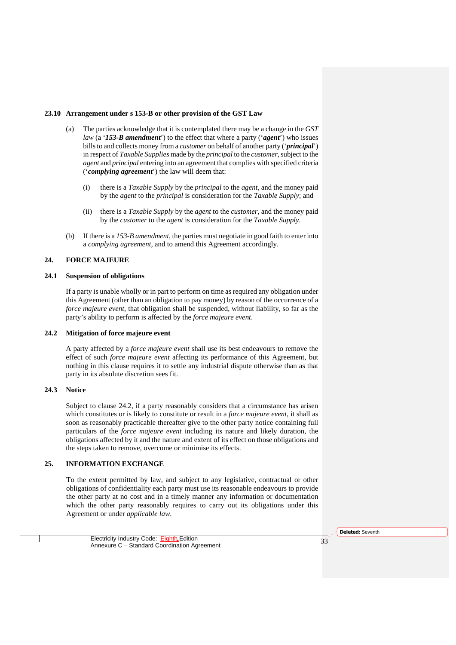#### **23.10 Arrangement under s 153-B or other provision of the GST Law**

- (a) The parties acknowledge that it is contemplated there may be a change in the *GST law* (a '*153-B amendment*') to the effect that where a party ('*agent*') who issues bills to and collects money from a *customer* on behalf of another party ('*principal*') in respect of *Taxable Supplies* made by the *principal* to the *customer*, subject to the *agent* and *principal* entering into an agreement that complies with specified criteria ('*complying agreement*') the law will deem that:
	- (i) there is a *Taxable Supply* by the *principal* to the *agent*, and the money paid by the *agent* to the *principal* is consideration for the *Taxable Supply*; and
	- (ii) there is a *Taxable Supply* by the *agent* to the *customer*, and the money paid by the *customer* to the *agent* is consideration for the *Taxable Supply*.
- (b) If there is a *153-B amendment*, the parties must negotiate in good faith to enter into a *complying agreement*, and to amend this Agreement accordingly.

#### **24. FORCE MAJEURE**

#### **24.1 Suspension of obligations**

If a party is unable wholly or in part to perform on time as required any obligation under this Agreement (other than an obligation to pay money) by reason of the occurrence of a *force majeure event*, that obligation shall be suspended, without liability, so far as the party's ability to perform is affected by the *force majeure event*.

#### **24.2 Mitigation of force majeure event**

A party affected by a *force majeure event* shall use its best endeavours to remove the effect of such *force majeure event* affecting its performance of this Agreement, but nothing in this clause requires it to settle any industrial dispute otherwise than as that party in its absolute discretion sees fit.

# **24.3 Notice**

Subject to clause 24.2, if a party reasonably considers that a circumstance has arisen which constitutes or is likely to constitute or result in a *force majeure event*, it shall as soon as reasonably practicable thereafter give to the other party notice containing full particulars of the *force majeure event* including its nature and likely duration, the obligations affected by it and the nature and extent of its effect on those obligations and the steps taken to remove, overcome or minimise its effects.

### **25. INFORMATION EXCHANGE**

To the extent permitted by law, and subject to any legislative, contractual or other obligations of confidentiality each party must use its reasonable endeavours to provide the other party at no cost and in a timely manner any information or documentation which the other party reasonably requires to carry out its obligations under this Agreement or under *applicable law*.

**Deleted:** Seventh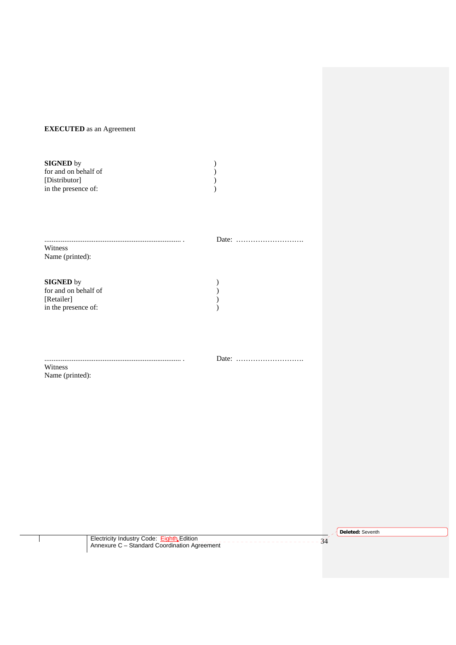# **EXECUTED** as an Agreement

| <b>SIGNED</b> by     |  |
|----------------------|--|
| for and on behalf of |  |
| [Distributor]        |  |
| in the presence of:  |  |

........................................................................... . Date: ………………………. Witness Name (printed):

**SIGNED** by ) for and on behalf of  $\overrightarrow{y}$ [Retailer] ) in the presence of:  $\qquad \qquad$  )

Witness

........................................................................... . Date: ……………………….

Name (printed):

**Deleted:** Seventh

Electricity Industry Code: Eighth Edition \_\_\_\_\_\_\_\_\_\_\_\_\_\_\_\_\_\_\_\_\_\_\_\_\_\_\_\_\_34<br>Annexure C – Standard Coordination Agreement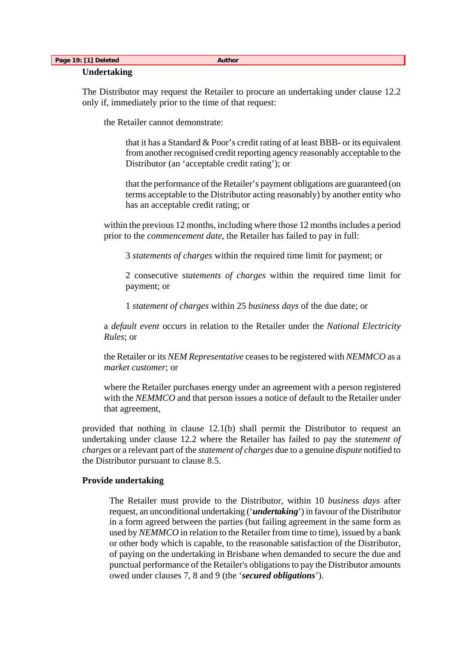# **Page 19: [1] Deleted Author Author Author Author Author Author Author Author Author**

# **Undertaking**

The Distributor may request the Retailer to procure an undertaking under clause 12.2 only if, immediately prior to the time of that request:

the Retailer cannot demonstrate:

that it has a Standard & Poor's credit rating of at least BBB- or its equivalent from another recognised credit reporting agency reasonably acceptable to the Distributor (an 'acceptable credit rating'); or

that the performance of the Retailer's payment obligations are guaranteed (on terms acceptable to the Distributor acting reasonably) by another entity who has an acceptable credit rating; or

within the previous 12 months, including where those 12 months includes a period prior to the *commencement date*, the Retailer has failed to pay in full:

3 *statements of charges* within the required time limit for payment; or

2 consecutive *statements of charges* within the required time limit for payment; or

1 *statement of charges* within 25 *business days* of the due date; or

a *default event* occurs in relation to the Retailer under the *National Electricity Rules*; or

the Retailer or its *NEM Representative* ceases to be registered with *NEMMCO* as a *market customer*; or

where the Retailer purchases energy under an agreement with a person registered with the *NEMMCO* and that person issues a notice of default to the Retailer under that agreement,

provided that nothing in clause 12.1(b) shall permit the Distributor to request an undertaking under clause 12.2 where the Retailer has failed to pay the *statement of charges* or a relevant part of the *statement of charges* due to a genuine *dispute* notified to the Distributor pursuant to clause 8.5.

# **Provide undertaking**

The Retailer must provide to the Distributor, within 10 *business days* after request, an unconditional undertaking ('*undertaking*') in favour of the Distributor in a form agreed between the parties (but failing agreement in the same form as used by *NEMMCO* in relation to the Retailer from time to time), issued by a bank or other body which is capable, to the reasonable satisfaction of the Distributor, of paying on the undertaking in Brisbane when demanded to secure the due and punctual performance of the Retailer's obligations to pay the Distributor amounts owed under clauses 7, 8 and 9 (the '*secured obligations*').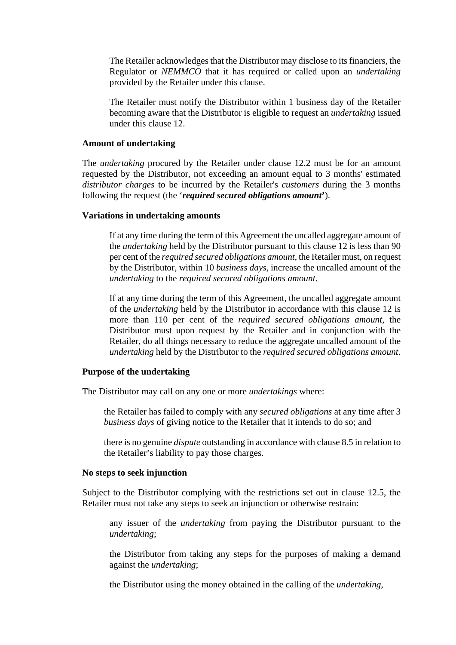The Retailer acknowledges that the Distributor may disclose to its financiers, the Regulator or *NEMMCO* that it has required or called upon an *undertaking* provided by the Retailer under this clause.

The Retailer must notify the Distributor within 1 business day of the Retailer becoming aware that the Distributor is eligible to request an *undertaking* issued under this clause 12.

# **Amount of undertaking**

The *undertaking* procured by the Retailer under clause 12.2 must be for an amount requested by the Distributor, not exceeding an amount equal to 3 months' estimated *distributor charges* to be incurred by the Retailer's *customers* during the 3 months following the request (the '*required secured obligations amount***'**).

# **Variations in undertaking amounts**

If at any time during the term of this Agreement the uncalled aggregate amount of the *undertaking* held by the Distributor pursuant to this clause 12 is less than 90 per cent of the *required secured obligations amount*, the Retailer must, on request by the Distributor, within 10 *business days*, increase the uncalled amount of the *undertaking* to the *required secured obligations amount*.

If at any time during the term of this Agreement, the uncalled aggregate amount of the *undertaking* held by the Distributor in accordance with this clause 12 is more than 110 per cent of the *required secured obligations amount*, the Distributor must upon request by the Retailer and in conjunction with the Retailer, do all things necessary to reduce the aggregate uncalled amount of the *undertaking* held by the Distributor to the *required secured obligations amount*.

# **Purpose of the undertaking**

The Distributor may call on any one or more *undertakings* where:

the Retailer has failed to comply with any *secured obligations* at any time after 3 *business days* of giving notice to the Retailer that it intends to do so; and

there is no genuine *dispute* outstanding in accordance with clause 8.5 in relation to the Retailer's liability to pay those charges.

# **No steps to seek injunction**

Subject to the Distributor complying with the restrictions set out in clause 12.5, the Retailer must not take any steps to seek an injunction or otherwise restrain:

any issuer of the *undertaking* from paying the Distributor pursuant to the *undertaking*;

the Distributor from taking any steps for the purposes of making a demand against the *undertaking*;

the Distributor using the money obtained in the calling of the *undertaking*,